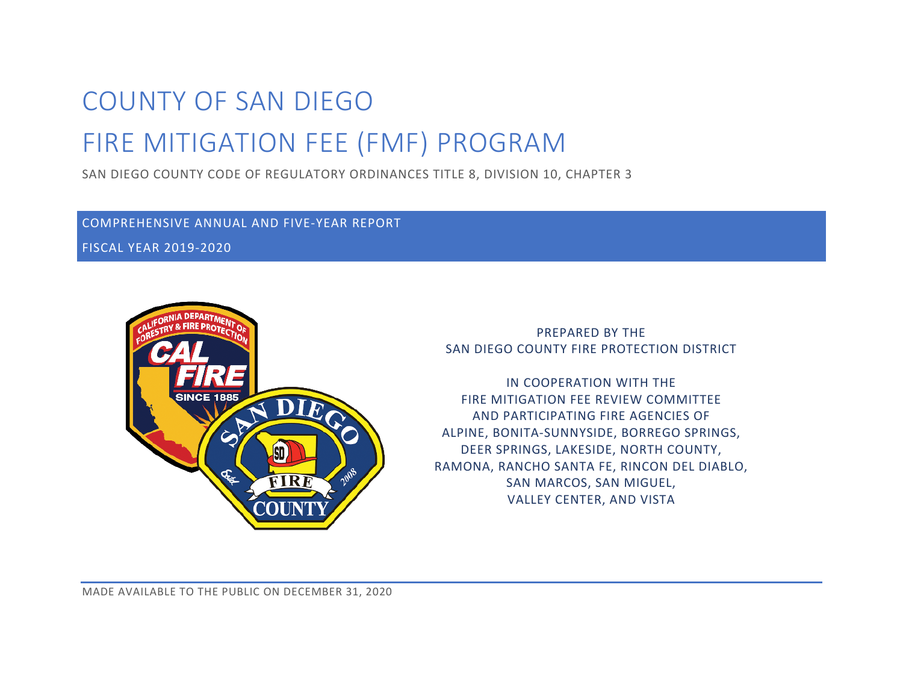# COUNTY OF SAN DIEGO FIRE MITIGATION FEE (FMF) PROGRAM

SAN DIEGO COUNTY CODE OF REGULATORY ORDINANCES TITLE 8, DIVISION 10, CHAPTER 3

COMPREHENSIVE ANNUAL AND FIVE-YEAR REPORT

FISCAL YEAR 2019-2020



PREPARED BY THE SAN DIEGO COUNTY FIRE PROTECTION DISTRICT

IN COOPERATION WITH THE FIRE MITIGATION FEE REVIEW COMMITTEE AND PARTICIPATING FIRE AGENCIES OF ALPINE, BONITA-SUNNYSIDE, BORREGO SPRINGS, DEER SPRINGS, LAKESIDE, NORTH COUNTY, RAMONA, RANCHO SANTA FE, RINCON DEL DIABLO, SAN MARCOS, SAN MIGUEL, VALLEY CENTER, AND VISTA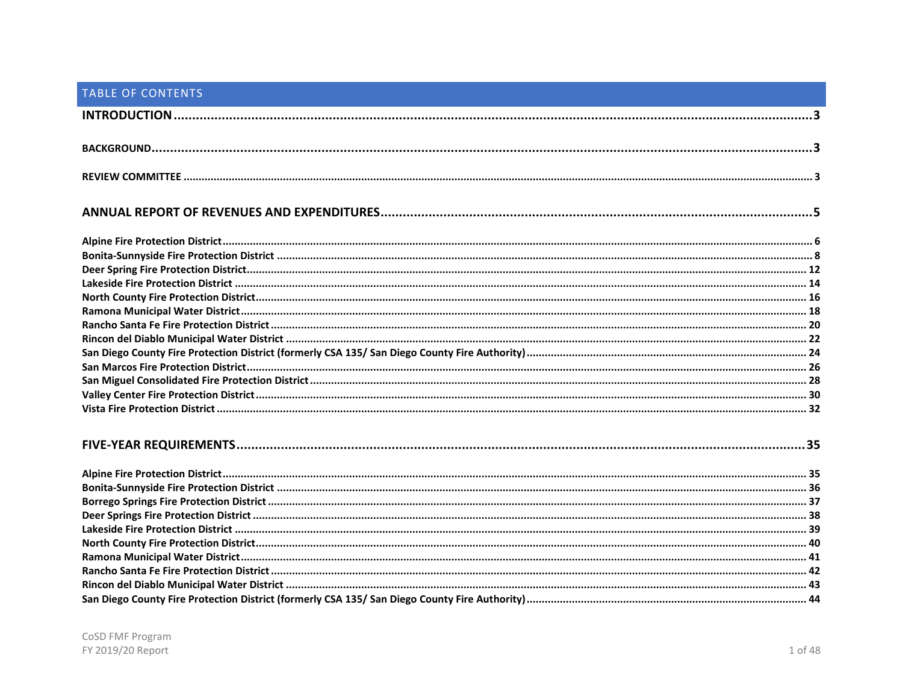# TABLE OF CONTENTS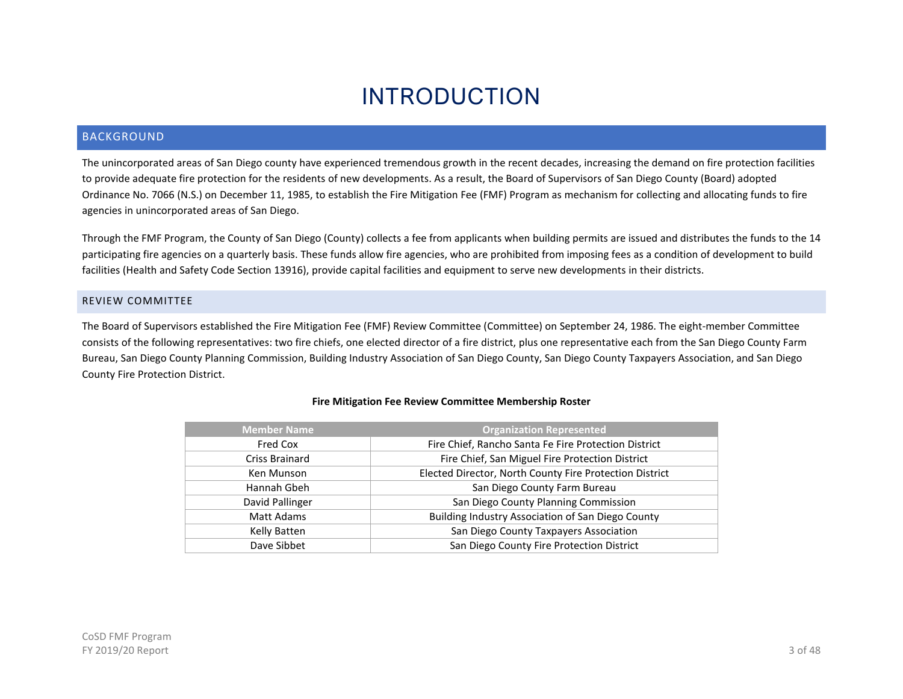# INTRODUCTION

# <span id="page-3-1"></span><span id="page-3-0"></span>BACKGROUND

The unincorporated areas of San Diego county have experienced tremendous growth in the recent decades, increasing the demand on fire protection facilities to provide adequate fire protection for the residents of new developments. As a result, the Board of Supervisors of San Diego County (Board) adopted Ordinance No. 7066 (N.S.) on December 11, 1985, to establish the Fire Mitigation Fee (FMF) Program as mechanism for collecting and allocating funds to fire agencies in unincorporated areas of San Diego.

Through the FMF Program, the County of San Diego (County) collects a fee from applicants when building permits are issued and distributes the funds to the 14 participating fire agencies on a quarterly basis. These funds allow fire agencies, who are prohibited from imposing fees as a condition of development to build facilities (Health and Safety Code Section 13916), provide capital facilities and equipment to serve new developments in their districts.

#### <span id="page-3-2"></span>REVIEW COMMITTEE

The Board of Supervisors established the Fire Mitigation Fee (FMF) Review Committee (Committee) on September 24, 1986. The eight-member Committee consists of the following representatives: two fire chiefs, one elected director of a fire district, plus one representative each from the San Diego County Farm Bureau, San Diego County Planning Commission, Building Industry Association of San Diego County, San Diego County Taxpayers Association, and San Diego County Fire Protection District.

| <b>Member Name</b> | <b>Organization Represented</b>                         |
|--------------------|---------------------------------------------------------|
| Fred Cox           | Fire Chief, Rancho Santa Fe Fire Protection District    |
| Criss Brainard     | Fire Chief, San Miguel Fire Protection District         |
| Ken Munson         | Elected Director, North County Fire Protection District |
| Hannah Gbeh        | San Diego County Farm Bureau                            |
| David Pallinger    | San Diego County Planning Commission                    |
| Matt Adams         | Building Industry Association of San Diego County       |
| Kelly Batten       | San Diego County Taxpayers Association                  |
| Dave Sibbet        | San Diego County Fire Protection District               |

#### **Fire Mitigation Fee Review Committee Membership Roster**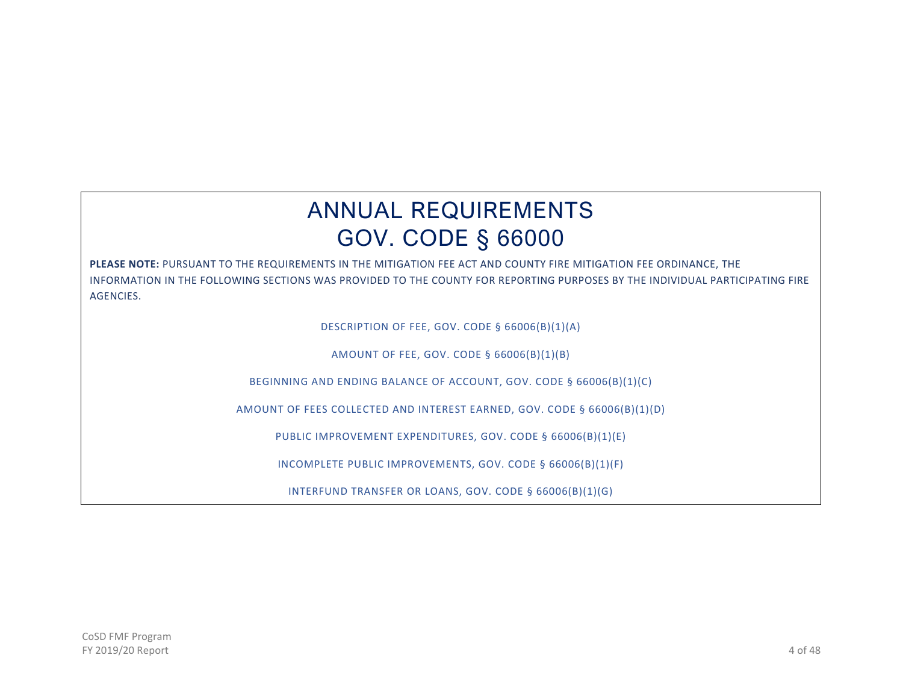# ANNUAL REQUIREMENTS GOV. CODE § 66000

**PLEASE NOTE:** PURSUANT TO THE REQUIREMENTS IN THE MITIGATION FEE ACT AND COUNTY FIRE MITIGATION FEE ORDINANCE, THE INFORMATION IN THE FOLLOWING SECTIONS WAS PROVIDED TO THE COUNTY FOR REPORTING PURPOSES BY THE INDIVIDUAL PARTICIPATING FIRE **AGENCIES** 

DESCRIPTION OF FEE, GOV. CODE § 66006(B)(1)(A)

AMOUNT OF FEE, GOV. CODE § 66006(B)(1)(B)

BEGINNING AND ENDING BALANCE OF ACCOUNT, GOV. CODE § 66006(B)(1)(C)

AMOUNT OF FEES COLLECTED AND INTEREST EARNED, GOV. CODE § 66006(B)(1)(D)

PUBLIC IMPROVEMENT EXPENDITURES, GOV. CODE § 66006(B)(1)(E)

INCOMPLETE PUBLIC IMPROVEMENTS, GOV. CODE § 66006(B)(1)(F)

INTERFUND TRANSFER OR LOANS, GOV. CODE § 66006(B)(1)(G)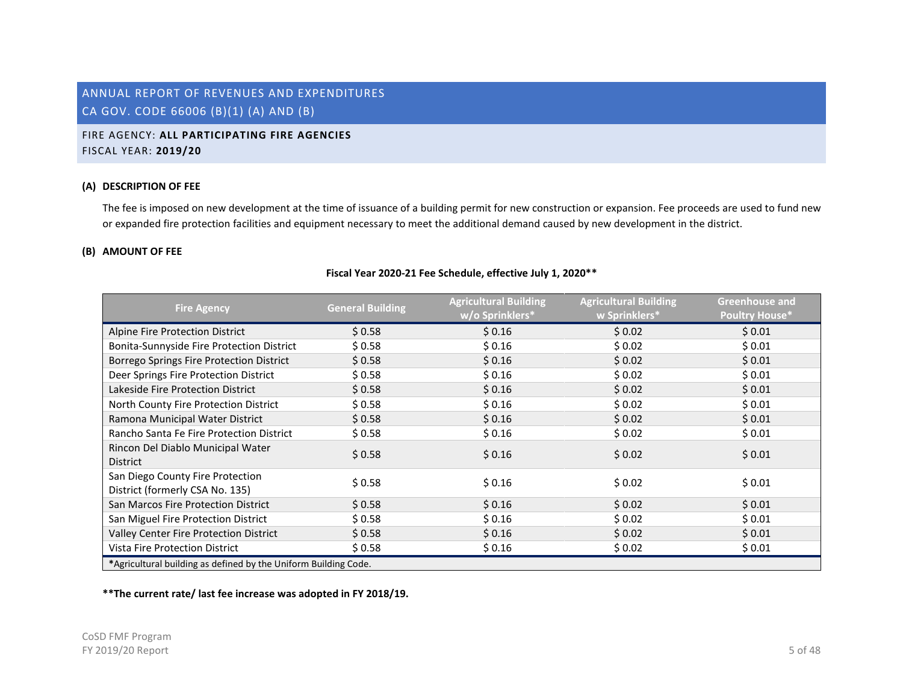# <span id="page-5-0"></span>FIRE AGENCY: **ALL PARTICIPATING FIRE AGENCIES** FISCAL YEAR: **2019/20**

### **(A) DESCRIPTION OF FEE**

The fee is imposed on new development at the time of issuance of a building permit for new construction or expansion. Fee proceeds are used to fund new or expanded fire protection facilities and equipment necessary to meet the additional demand caused by new development in the district.

# **(B) AMOUNT OF FEE**

#### **Fiscal Year 2020-21 Fee Schedule, effective July 1, 2020\*\***

| <b>Fire Agency</b>                                                  | <b>General Building</b> | <b>Agricultural Building</b><br>w/o Sprinklers* | <b>Agricultural Building</b><br>w Sprinklers* | <b>Greenhouse and</b><br><b>Poultry House*</b> |
|---------------------------------------------------------------------|-------------------------|-------------------------------------------------|-----------------------------------------------|------------------------------------------------|
| Alpine Fire Protection District                                     | \$0.58                  | \$0.16                                          | \$0.02                                        | \$0.01                                         |
| Bonita-Sunnyside Fire Protection District                           | \$0.58                  | \$0.16                                          | \$ 0.02                                       | \$0.01                                         |
| Borrego Springs Fire Protection District                            | \$0.58                  | \$0.16                                          | \$0.02                                        | \$0.01                                         |
| Deer Springs Fire Protection District                               | \$0.58                  | \$0.16                                          | \$0.02                                        | \$0.01                                         |
| Lakeside Fire Protection District                                   | \$0.58                  | \$0.16                                          | \$0.02                                        | \$0.01                                         |
| North County Fire Protection District                               | \$0.58                  | \$0.16                                          | \$0.02                                        | \$0.01                                         |
| Ramona Municipal Water District                                     | \$0.58                  | \$0.16                                          | \$0.02                                        | \$0.01                                         |
| Rancho Santa Fe Fire Protection District                            | \$0.58                  | \$0.16                                          | \$0.02                                        | \$0.01                                         |
| Rincon Del Diablo Municipal Water<br><b>District</b>                | \$0.58                  | \$0.16                                          | \$0.02                                        | \$0.01                                         |
| San Diego County Fire Protection<br>District (formerly CSA No. 135) | \$0.58                  | \$0.16                                          | \$0.02                                        | \$0.01                                         |
| San Marcos Fire Protection District                                 | \$0.58                  | \$0.16                                          | \$0.02                                        | \$0.01                                         |
| San Miguel Fire Protection District                                 | \$0.58                  | \$0.16                                          | \$ 0.02                                       | \$0.01                                         |
| Valley Center Fire Protection District                              | \$0.58                  | \$0.16                                          | \$0.02                                        | \$0.01                                         |
| <b>Vista Fire Protection District</b>                               | \$0.58                  | \$0.16                                          | \$0.02                                        | \$0.01                                         |
| *Agricultural building as defined by the Uniform Building Code.     |                         |                                                 |                                               |                                                |

**\*\*The current rate/ last fee increase was adopted in FY 2018/19.**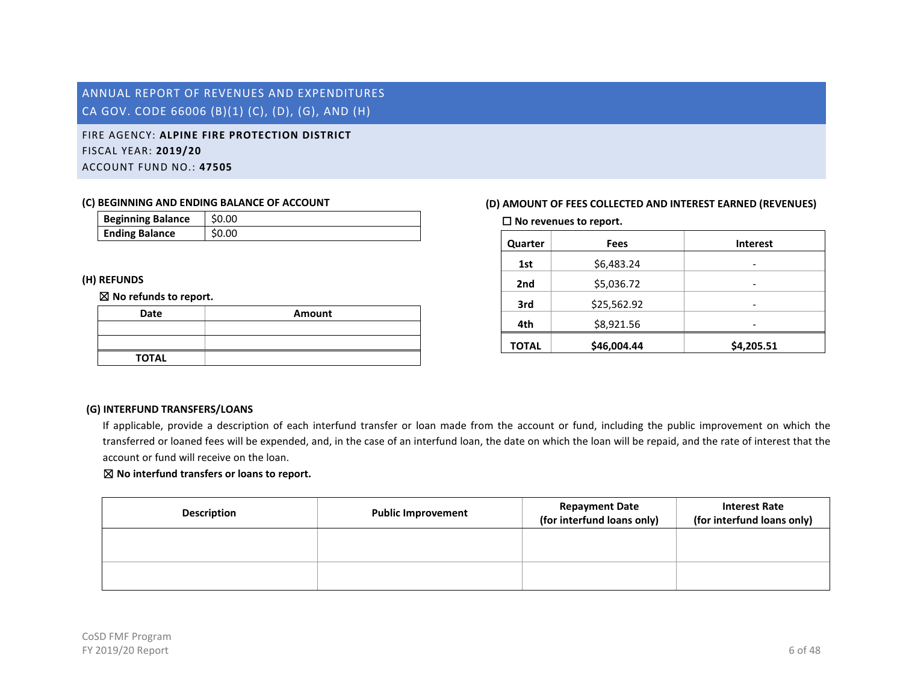<span id="page-6-0"></span>FIRE AGENCY: **ALPINE FIRE PROTECTION DISTRICT** FISCAL YEAR: **2019/20** ACCOUNT FUND NO.: **47505**

#### **(C) BEGINNING AND ENDING BALANCE OF ACCOUNT**

| <b>Beginning Balance</b> | \$0.00 |
|--------------------------|--------|
| <b>Ending Balance</b>    | \$0.00 |

### **(H) REFUNDS**

#### ☒ **No refunds to report.**

| Date         | Amount |
|--------------|--------|
|              |        |
|              |        |
| <b>TOTAL</b> |        |

# **(D) AMOUNT OF FEES COLLECTED AND INTEREST EARNED (REVENUES)**

☐ **No revenues to report.**

| Quarter      | Fees        | <b>Interest</b> |
|--------------|-------------|-----------------|
| 1st          | \$6,483.24  | -               |
| 2nd          | \$5,036.72  | -               |
| 3rd          | \$25,562.92 |                 |
| 4th          | \$8,921.56  |                 |
| <b>TOTAL</b> | \$46,004.44 | \$4,205.51      |

### **(G) INTERFUND TRANSFERS/LOANS**

If applicable, provide a description of each interfund transfer or loan made from the account or fund, including the public improvement on which the transferred or loaned fees will be expended, and, in the case of an interfund loan, the date on which the loan will be repaid, and the rate of interest that the account or fund will receive on the loan.

| <b>Description</b> | <b>Public Improvement</b> | <b>Repayment Date</b><br>(for interfund loans only) | <b>Interest Rate</b><br>(for interfund loans only) |
|--------------------|---------------------------|-----------------------------------------------------|----------------------------------------------------|
|                    |                           |                                                     |                                                    |
|                    |                           |                                                     |                                                    |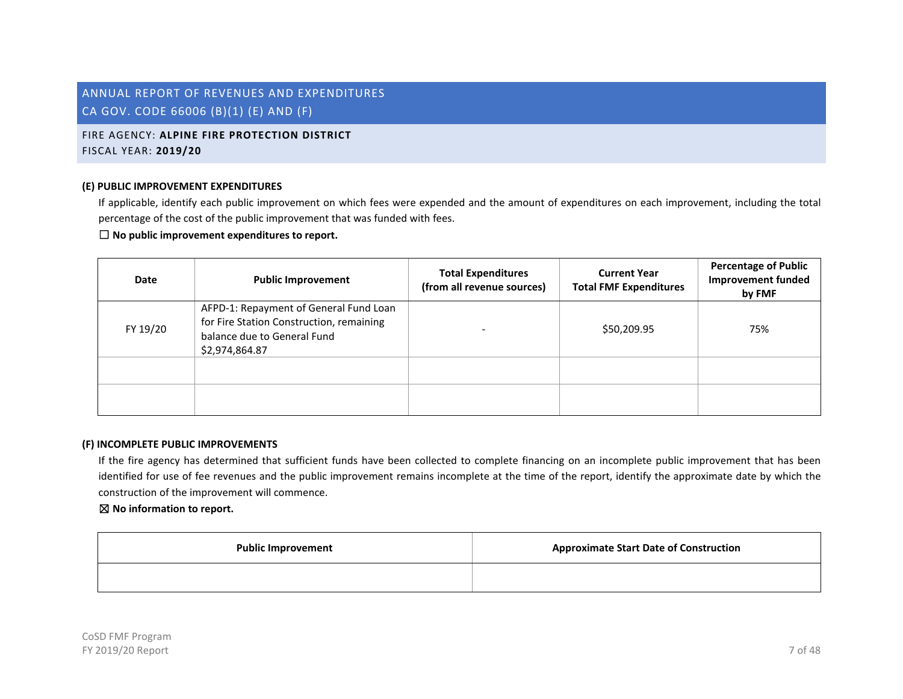# FIRE AGENCY: **ALPINE FIRE PROTECTION DISTRICT** FISCAL YEAR: **2019/20**

#### **(E) PUBLIC IMPROVEMENT EXPENDITURES**

If applicable, identify each public improvement on which fees were expended and the amount of expenditures on each improvement, including the total percentage of the cost of the public improvement that was funded with fees.

# ☐ **No public improvement expenditures to report.**

| <b>Date</b> | <b>Public Improvement</b>                                                                                                           | <b>Total Expenditures</b><br>(from all revenue sources) | <b>Current Year</b><br><b>Total FMF Expenditures</b> | <b>Percentage of Public</b><br><b>Improvement funded</b><br>by FMF |
|-------------|-------------------------------------------------------------------------------------------------------------------------------------|---------------------------------------------------------|------------------------------------------------------|--------------------------------------------------------------------|
| FY 19/20    | AFPD-1: Repayment of General Fund Loan<br>for Fire Station Construction, remaining<br>balance due to General Fund<br>\$2,974,864.87 |                                                         | \$50,209.95                                          | 75%                                                                |
|             |                                                                                                                                     |                                                         |                                                      |                                                                    |
|             |                                                                                                                                     |                                                         |                                                      |                                                                    |

#### **(F) INCOMPLETE PUBLIC IMPROVEMENTS**

If the fire agency has determined that sufficient funds have been collected to complete financing on an incomplete public improvement that has been identified for use of fee revenues and the public improvement remains incomplete at the time of the report, identify the approximate date by which the construction of the improvement will commence.

| <b>Public Improvement</b> | <b>Approximate Start Date of Construction</b> |
|---------------------------|-----------------------------------------------|
|                           |                                               |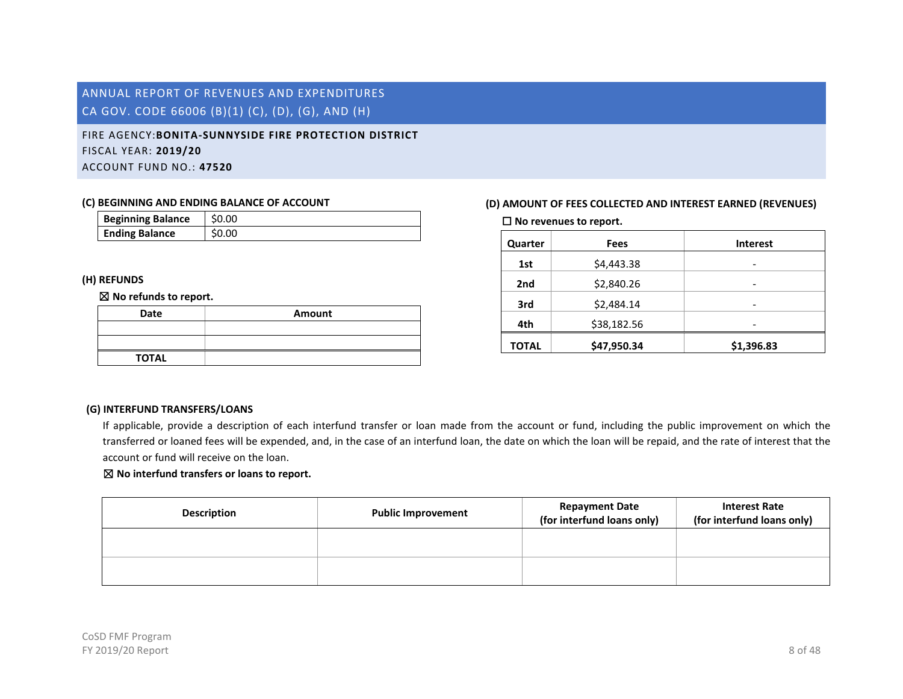# <span id="page-8-0"></span>FIRE AGENCY:**BONITA-SUNNYSIDE FIRE PROTECTION DISTRICT** FISCAL YEAR: **2019/20** ACCOUNT FUND NO.: **47520**

#### **(C) BEGINNING AND ENDING BALANCE OF ACCOUNT**

| <b>Beginning Balance</b> | \$0.00 |
|--------------------------|--------|
| <b>Ending Balance</b>    | \$0.00 |

### **(H) REFUNDS**

#### ☒ **No refunds to report.**

| Date         | Amount |
|--------------|--------|
|              |        |
|              |        |
| <b>TOTAL</b> |        |

# **(D) AMOUNT OF FEES COLLECTED AND INTEREST EARNED (REVENUES)**

☐ **No revenues to report.**

| Quarter      | Fees        | <b>Interest</b> |
|--------------|-------------|-----------------|
| 1st          | \$4,443.38  | -               |
| 2nd          | \$2,840.26  | -               |
| 3rd          | \$2,484.14  |                 |
| 4th          | \$38,182.56 |                 |
| <b>TOTAL</b> | \$47,950.34 | \$1,396.83      |

# **(G) INTERFUND TRANSFERS/LOANS**

If applicable, provide a description of each interfund transfer or loan made from the account or fund, including the public improvement on which the transferred or loaned fees will be expended, and, in the case of an interfund loan, the date on which the loan will be repaid, and the rate of interest that the account or fund will receive on the loan.

| <b>Description</b> | <b>Public Improvement</b> | <b>Repayment Date</b><br>(for interfund loans only) | <b>Interest Rate</b><br>(for interfund loans only) |
|--------------------|---------------------------|-----------------------------------------------------|----------------------------------------------------|
|                    |                           |                                                     |                                                    |
|                    |                           |                                                     |                                                    |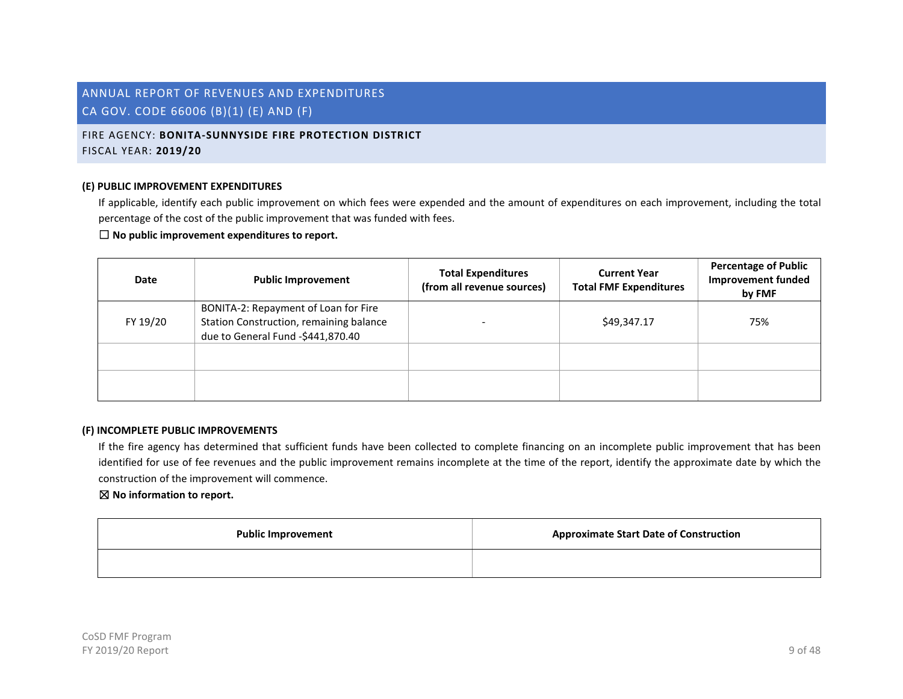# FIRE AGENCY: **BONITA-SUNNYSIDE FIRE PROTECTION DISTRICT** FISCAL YEAR: **2019/20**

#### **(E) PUBLIC IMPROVEMENT EXPENDITURES**

If applicable, identify each public improvement on which fees were expended and the amount of expenditures on each improvement, including the total percentage of the cost of the public improvement that was funded with fees.

# ☐ **No public improvement expenditures to report.**

| Date     | <b>Public Improvement</b>                                                                                            | <b>Total Expenditures</b><br>(from all revenue sources) | <b>Current Year</b><br><b>Total FMF Expenditures</b> | <b>Percentage of Public</b><br><b>Improvement funded</b><br>by FMF |
|----------|----------------------------------------------------------------------------------------------------------------------|---------------------------------------------------------|------------------------------------------------------|--------------------------------------------------------------------|
| FY 19/20 | BONITA-2: Repayment of Loan for Fire<br>Station Construction, remaining balance<br>due to General Fund -\$441,870.40 |                                                         | \$49,347.17                                          | 75%                                                                |
|          |                                                                                                                      |                                                         |                                                      |                                                                    |
|          |                                                                                                                      |                                                         |                                                      |                                                                    |

#### **(F) INCOMPLETE PUBLIC IMPROVEMENTS**

If the fire agency has determined that sufficient funds have been collected to complete financing on an incomplete public improvement that has been identified for use of fee revenues and the public improvement remains incomplete at the time of the report, identify the approximate date by which the construction of the improvement will commence.

| <b>Public Improvement</b> | <b>Approximate Start Date of Construction</b> |
|---------------------------|-----------------------------------------------|
|                           |                                               |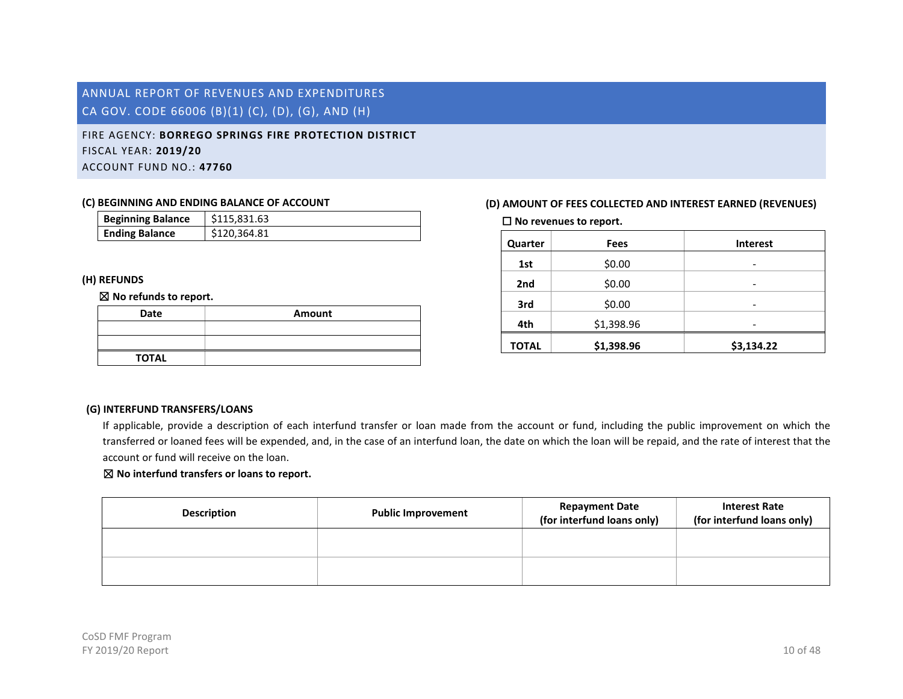# FIRE AGENCY: **BORREGO SPRINGS FIRE PROTECTION DISTRICT** FISCAL YEAR: **2019/20** ACCOUNT FUND NO.: **47760**

#### **(C) BEGINNING AND ENDING BALANCE OF ACCOUNT**

| <b>Beginning Balance</b> | \$115.831.63 |
|--------------------------|--------------|
| <b>Ending Balance</b>    | \$120,364.81 |

### **(H) REFUNDS**

#### ☒ **No refunds to report.**

| Date         | Amount |
|--------------|--------|
|              |        |
|              |        |
| <b>TOTAL</b> |        |

# **(D) AMOUNT OF FEES COLLECTED AND INTEREST EARNED (REVENUES)**

☐ **No revenues to report.**

| Quarter      | <b>Fees</b> | <b>Interest</b> |
|--------------|-------------|-----------------|
| 1st          | \$0.00      | -               |
| 2nd          | \$0.00      | -               |
| 3rd          | \$0.00      | -               |
| 4th          | \$1,398.96  | -               |
| <b>TOTAL</b> | \$1,398.96  | \$3,134.22      |

### **(G) INTERFUND TRANSFERS/LOANS**

If applicable, provide a description of each interfund transfer or loan made from the account or fund, including the public improvement on which the transferred or loaned fees will be expended, and, in the case of an interfund loan, the date on which the loan will be repaid, and the rate of interest that the account or fund will receive on the loan.

| <b>Description</b> | <b>Public Improvement</b> | <b>Repayment Date</b><br>(for interfund loans only) | <b>Interest Rate</b><br>(for interfund loans only) |
|--------------------|---------------------------|-----------------------------------------------------|----------------------------------------------------|
|                    |                           |                                                     |                                                    |
|                    |                           |                                                     |                                                    |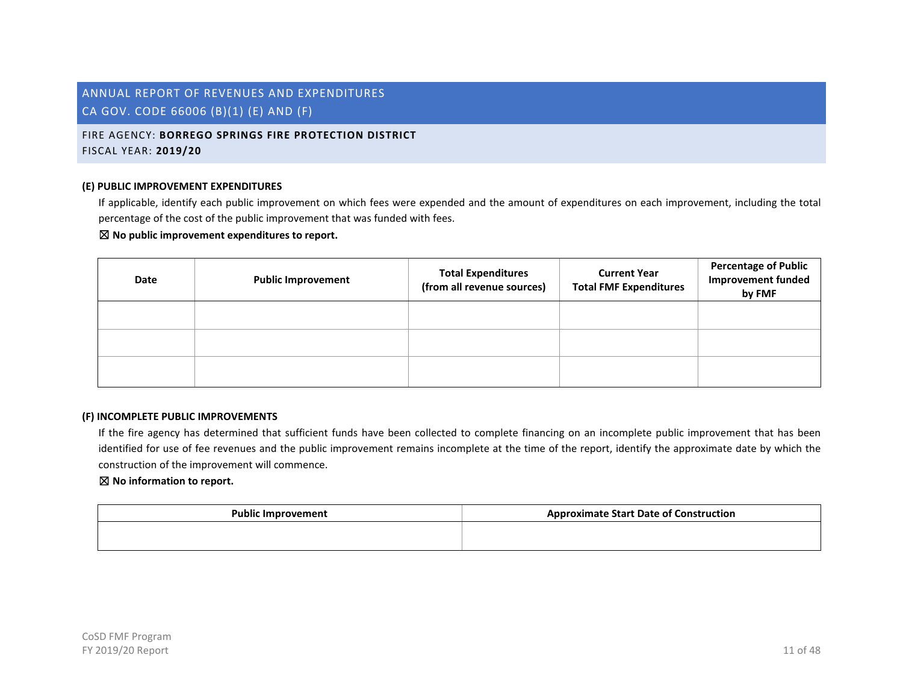# FIRE AGENCY: **BORREGO SPRINGS FIRE PROTECTION DISTRICT** FISCAL YEAR: **2019/20**

#### **(E) PUBLIC IMPROVEMENT EXPENDITURES**

If applicable, identify each public improvement on which fees were expended and the amount of expenditures on each improvement, including the total percentage of the cost of the public improvement that was funded with fees.

#### ☒ **No public improvement expenditures to report.**

| Date | <b>Public Improvement</b> | <b>Total Expenditures</b><br>(from all revenue sources) | <b>Current Year</b><br><b>Total FMF Expenditures</b> | <b>Percentage of Public</b><br><b>Improvement funded</b><br>by FMF |
|------|---------------------------|---------------------------------------------------------|------------------------------------------------------|--------------------------------------------------------------------|
|      |                           |                                                         |                                                      |                                                                    |
|      |                           |                                                         |                                                      |                                                                    |
|      |                           |                                                         |                                                      |                                                                    |

#### **(F) INCOMPLETE PUBLIC IMPROVEMENTS**

If the fire agency has determined that sufficient funds have been collected to complete financing on an incomplete public improvement that has been identified for use of fee revenues and the public improvement remains incomplete at the time of the report, identify the approximate date by which the construction of the improvement will commence.

| <b>Public Improvement</b> | <b>Approximate Start Date of Construction</b> |
|---------------------------|-----------------------------------------------|
|                           |                                               |
|                           |                                               |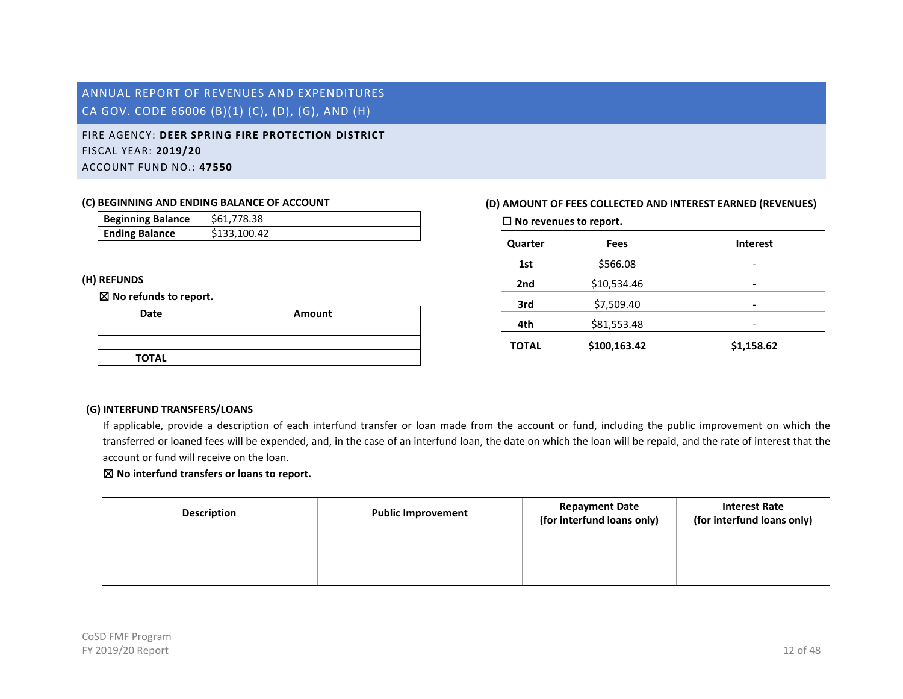# <span id="page-12-0"></span>FIRE AGENCY: **DEER SPRING FIRE PROTECTION DISTRICT** FISCAL YEAR: **2019/20** ACCOUNT FUND NO.: **47550**

#### **(C) BEGINNING AND ENDING BALANCE OF ACCOUNT**

| <b>Beginning Balance</b> | \$61,778.38  |
|--------------------------|--------------|
| <b>Ending Balance</b>    | \$133,100.42 |

### **(H) REFUNDS**

#### ☒ **No refunds to report.**

| Date         | Amount |
|--------------|--------|
|              |        |
|              |        |
| <b>TOTAL</b> |        |

# **(D) AMOUNT OF FEES COLLECTED AND INTEREST EARNED (REVENUES)**

☐ **No revenues to report.**

| Quarter      | <b>Fees</b>  | <b>Interest</b> |
|--------------|--------------|-----------------|
| 1st          | \$566.08     | -               |
| 2nd          | \$10,534.46  |                 |
| 3rd          | \$7,509.40   |                 |
| 4th          | \$81,553.48  |                 |
| <b>TOTAL</b> | \$100,163.42 | \$1,158.62      |

### **(G) INTERFUND TRANSFERS/LOANS**

If applicable, provide a description of each interfund transfer or loan made from the account or fund, including the public improvement on which the transferred or loaned fees will be expended, and, in the case of an interfund loan, the date on which the loan will be repaid, and the rate of interest that the account or fund will receive on the loan.

| <b>Description</b> | <b>Public Improvement</b> | <b>Repayment Date</b><br>(for interfund loans only) | <b>Interest Rate</b><br>(for interfund loans only) |
|--------------------|---------------------------|-----------------------------------------------------|----------------------------------------------------|
|                    |                           |                                                     |                                                    |
|                    |                           |                                                     |                                                    |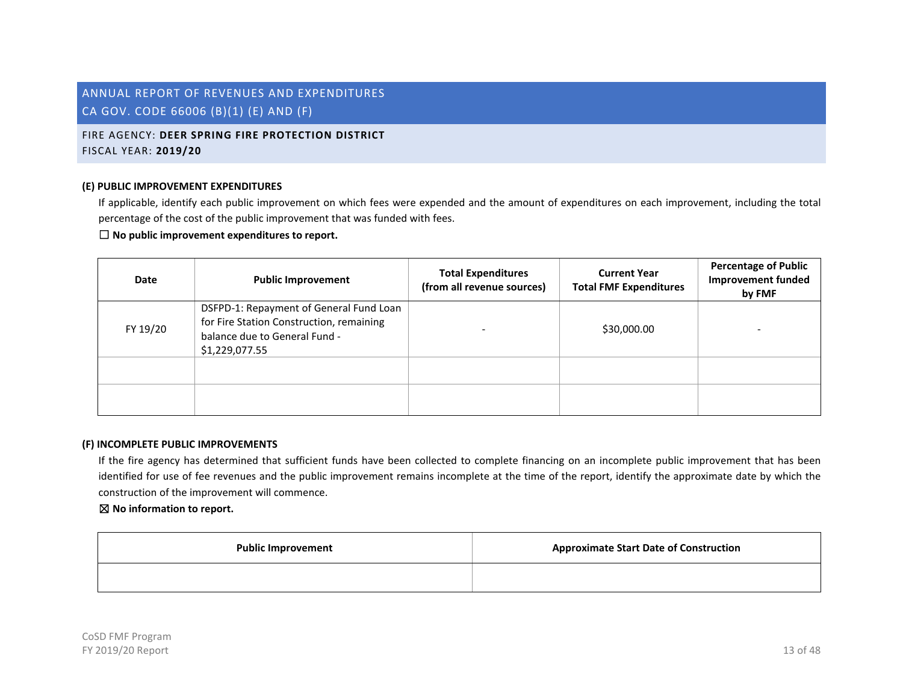# FIRE AGENCY: **DEER SPRING FIRE PROTECTION DISTRICT** FISCAL YEAR: **2019/20**

#### **(E) PUBLIC IMPROVEMENT EXPENDITURES**

If applicable, identify each public improvement on which fees were expended and the amount of expenditures on each improvement, including the total percentage of the cost of the public improvement that was funded with fees.

# ☐ **No public improvement expenditures to report.**

| <b>Date</b> | <b>Public Improvement</b>                                                                                                              | <b>Total Expenditures</b><br>(from all revenue sources) | <b>Current Year</b><br><b>Total FMF Expenditures</b> | <b>Percentage of Public</b><br><b>Improvement funded</b><br>by FMF |
|-------------|----------------------------------------------------------------------------------------------------------------------------------------|---------------------------------------------------------|------------------------------------------------------|--------------------------------------------------------------------|
| FY 19/20    | DSFPD-1: Repayment of General Fund Loan<br>for Fire Station Construction, remaining<br>balance due to General Fund -<br>\$1,229,077.55 |                                                         | \$30,000.00                                          |                                                                    |
|             |                                                                                                                                        |                                                         |                                                      |                                                                    |
|             |                                                                                                                                        |                                                         |                                                      |                                                                    |

#### **(F) INCOMPLETE PUBLIC IMPROVEMENTS**

If the fire agency has determined that sufficient funds have been collected to complete financing on an incomplete public improvement that has been identified for use of fee revenues and the public improvement remains incomplete at the time of the report, identify the approximate date by which the construction of the improvement will commence.

| <b>Public Improvement</b> | <b>Approximate Start Date of Construction</b> |
|---------------------------|-----------------------------------------------|
|                           |                                               |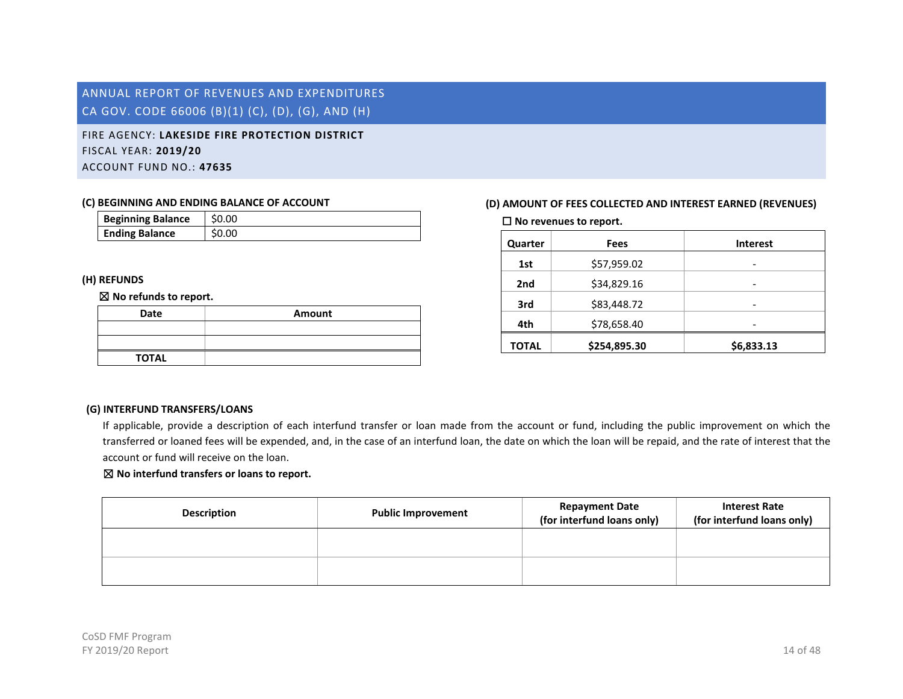<span id="page-14-0"></span>FIRE AGENCY: **LAKESIDE FIRE PROTECTION DISTRICT** FISCAL YEAR: **2019/20** ACCOUNT FUND NO.: **47635**

#### **(C) BEGINNING AND ENDING BALANCE OF ACCOUNT**

| <b>Beginning Balance</b> | \$0.00 |
|--------------------------|--------|
| <b>Ending Balance</b>    | \$0.00 |

### **(H) REFUNDS**

#### ☒ **No refunds to report.**

| Date         | Amount |
|--------------|--------|
|              |        |
|              |        |
| <b>TOTAL</b> |        |

# **(D) AMOUNT OF FEES COLLECTED AND INTEREST EARNED (REVENUES)**

☐ **No revenues to report.**

| Quarter      | Fees         | <b>Interest</b> |
|--------------|--------------|-----------------|
| 1st          | \$57,959.02  | -               |
| 2nd          | \$34,829.16  |                 |
| 3rd          | \$83,448.72  |                 |
| 4th          | \$78,658.40  |                 |
| <b>TOTAL</b> | \$254,895.30 | \$6,833.13      |

### **(G) INTERFUND TRANSFERS/LOANS**

If applicable, provide a description of each interfund transfer or loan made from the account or fund, including the public improvement on which the transferred or loaned fees will be expended, and, in the case of an interfund loan, the date on which the loan will be repaid, and the rate of interest that the account or fund will receive on the loan.

| <b>Description</b> | <b>Public Improvement</b> | <b>Repayment Date</b><br>(for interfund loans only) | <b>Interest Rate</b><br>(for interfund loans only) |
|--------------------|---------------------------|-----------------------------------------------------|----------------------------------------------------|
|                    |                           |                                                     |                                                    |
|                    |                           |                                                     |                                                    |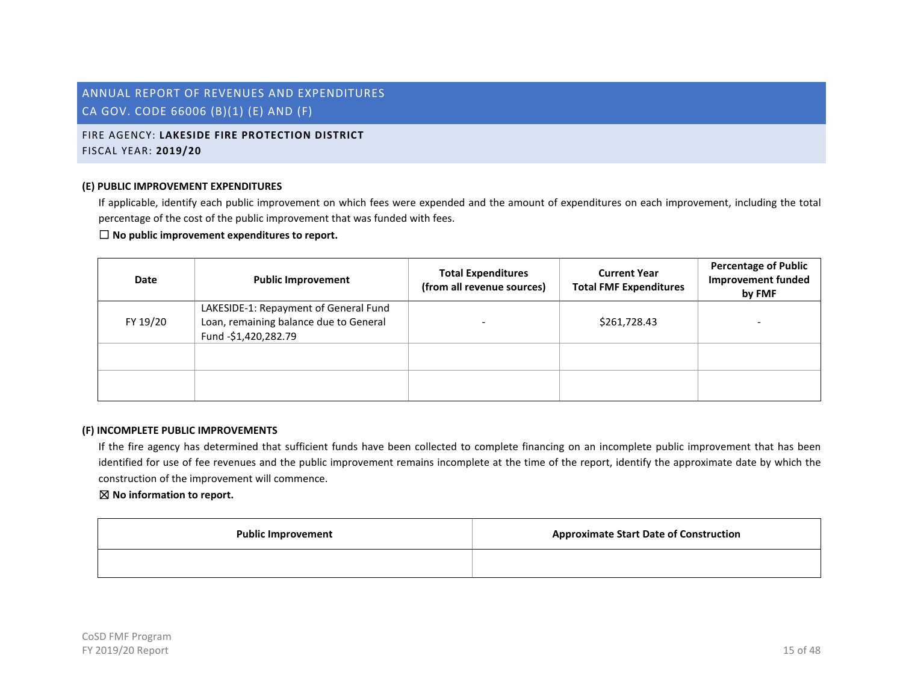# FIRE AGENCY: **LAKESIDE FIRE PROTECTION DISTRICT** FISCAL YEAR: **2019/20**

#### **(E) PUBLIC IMPROVEMENT EXPENDITURES**

If applicable, identify each public improvement on which fees were expended and the amount of expenditures on each improvement, including the total percentage of the cost of the public improvement that was funded with fees.

# ☐ **No public improvement expenditures to report.**

| Date     | <b>Public Improvement</b>                                                                               | <b>Total Expenditures</b><br>(from all revenue sources) | <b>Current Year</b><br><b>Total FMF Expenditures</b> | <b>Percentage of Public</b><br><b>Improvement funded</b><br>by FMF |
|----------|---------------------------------------------------------------------------------------------------------|---------------------------------------------------------|------------------------------------------------------|--------------------------------------------------------------------|
| FY 19/20 | LAKESIDE-1: Repayment of General Fund<br>Loan, remaining balance due to General<br>Fund -\$1,420,282.79 |                                                         | \$261,728.43                                         |                                                                    |
|          |                                                                                                         |                                                         |                                                      |                                                                    |
|          |                                                                                                         |                                                         |                                                      |                                                                    |

#### **(F) INCOMPLETE PUBLIC IMPROVEMENTS**

If the fire agency has determined that sufficient funds have been collected to complete financing on an incomplete public improvement that has been identified for use of fee revenues and the public improvement remains incomplete at the time of the report, identify the approximate date by which the construction of the improvement will commence.

| <b>Public Improvement</b> | <b>Approximate Start Date of Construction</b> |
|---------------------------|-----------------------------------------------|
|                           |                                               |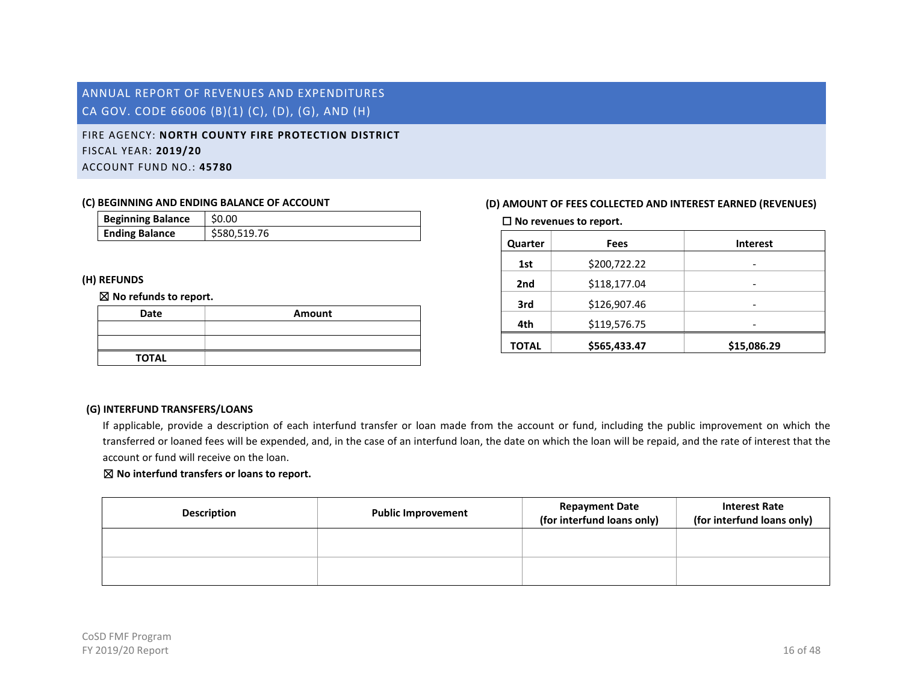# <span id="page-16-0"></span>FIRE AGENCY: **NORTH COUNTY FIRE PROTECTION DISTRICT** FISCAL YEAR: **2019/20** ACCOUNT FUND NO.: **45780**

#### **(C) BEGINNING AND ENDING BALANCE OF ACCOUNT**

| <b>Beginning Balance</b> | \$0.00       |
|--------------------------|--------------|
| <b>Ending Balance</b>    | \$580,519.76 |

### **(H) REFUNDS**

#### ☒ **No refunds to report.**

| Date         | Amount |
|--------------|--------|
|              |        |
|              |        |
| <b>TOTAL</b> |        |

# **(D) AMOUNT OF FEES COLLECTED AND INTEREST EARNED (REVENUES)**

☐ **No revenues to report.**

| Quarter      | <b>Fees</b>  | <b>Interest</b> |
|--------------|--------------|-----------------|
| 1st          | \$200,722.22 | -               |
| 2nd          | \$118,177.04 |                 |
| 3rd          | \$126,907.46 |                 |
| 4th          | \$119,576.75 |                 |
| <b>TOTAL</b> | \$565,433.47 | \$15,086.29     |

# **(G) INTERFUND TRANSFERS/LOANS**

If applicable, provide a description of each interfund transfer or loan made from the account or fund, including the public improvement on which the transferred or loaned fees will be expended, and, in the case of an interfund loan, the date on which the loan will be repaid, and the rate of interest that the account or fund will receive on the loan.

| <b>Description</b> | <b>Public Improvement</b> | <b>Repayment Date</b><br>(for interfund loans only) | <b>Interest Rate</b><br>(for interfund loans only) |
|--------------------|---------------------------|-----------------------------------------------------|----------------------------------------------------|
|                    |                           |                                                     |                                                    |
|                    |                           |                                                     |                                                    |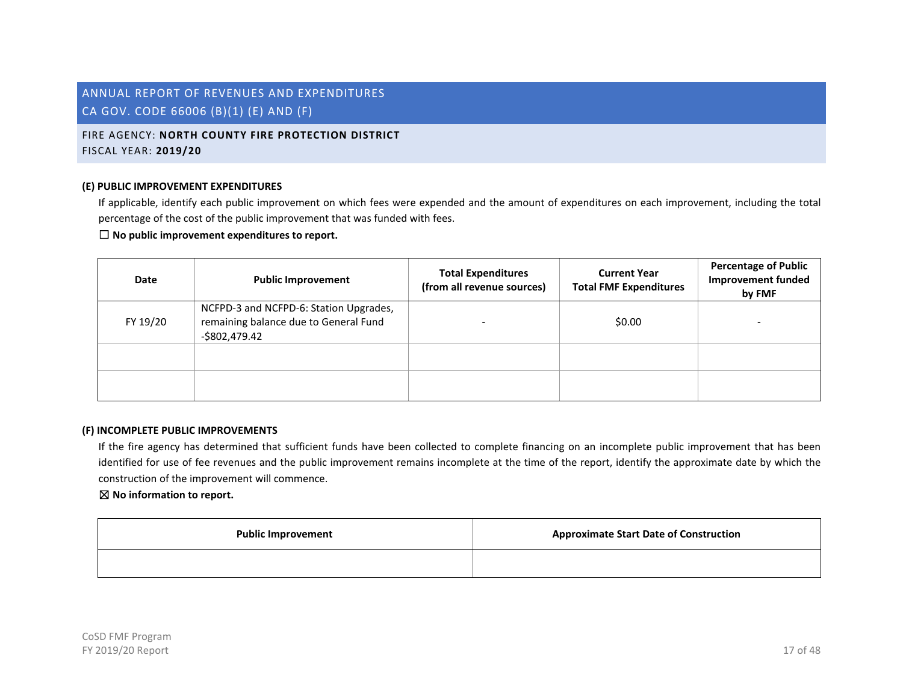# FIRE AGENCY: **NORTH COUNTY FIRE PROTECTION DISTRICT** FISCAL YEAR: **2019/20**

#### **(E) PUBLIC IMPROVEMENT EXPENDITURES**

If applicable, identify each public improvement on which fees were expended and the amount of expenditures on each improvement, including the total percentage of the cost of the public improvement that was funded with fees.

# ☐ **No public improvement expenditures to report.**

| Date     | <b>Public Improvement</b>                                                                         | <b>Total Expenditures</b><br>(from all revenue sources) | <b>Current Year</b><br><b>Total FMF Expenditures</b> | <b>Percentage of Public</b><br><b>Improvement funded</b><br>by FMF |
|----------|---------------------------------------------------------------------------------------------------|---------------------------------------------------------|------------------------------------------------------|--------------------------------------------------------------------|
| FY 19/20 | NCFPD-3 and NCFPD-6: Station Upgrades,<br>remaining balance due to General Fund<br>$-$802,479.42$ |                                                         | \$0.00                                               |                                                                    |
|          |                                                                                                   |                                                         |                                                      |                                                                    |
|          |                                                                                                   |                                                         |                                                      |                                                                    |

#### **(F) INCOMPLETE PUBLIC IMPROVEMENTS**

If the fire agency has determined that sufficient funds have been collected to complete financing on an incomplete public improvement that has been identified for use of fee revenues and the public improvement remains incomplete at the time of the report, identify the approximate date by which the construction of the improvement will commence.

| <b>Public Improvement</b> | <b>Approximate Start Date of Construction</b> |
|---------------------------|-----------------------------------------------|
|                           |                                               |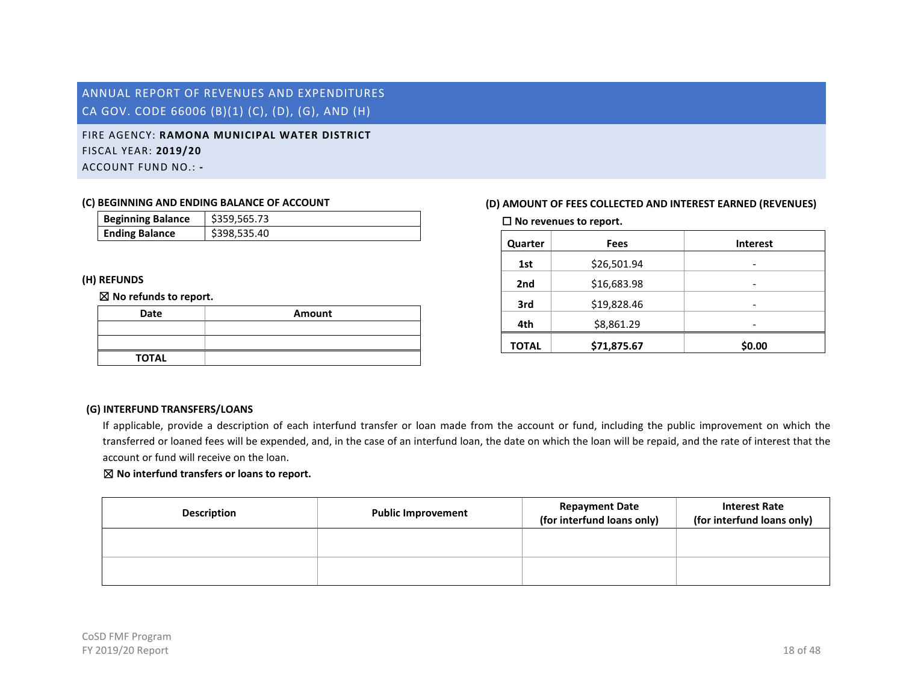# <span id="page-18-0"></span>FIRE AGENCY: **RAMONA MUNICIPAL WATER DISTRICT** FISCAL YEAR: **2019/20** ACCOUNT FUND NO.: **-**

#### **(C) BEGINNING AND ENDING BALANCE OF ACCOUNT**

| <b>Beginning Balance</b> | \$359,565.73 |
|--------------------------|--------------|
| <b>Ending Balance</b>    | \$398,535.40 |

### **(H) REFUNDS**

#### ☒ **No refunds to report.**

| Date         | Amount |
|--------------|--------|
|              |        |
|              |        |
| <b>TOTAL</b> |        |

# **(D) AMOUNT OF FEES COLLECTED AND INTEREST EARNED (REVENUES)**

☐ **No revenues to report.**

| Quarter      | Fees        | <b>Interest</b> |
|--------------|-------------|-----------------|
| 1st          | \$26,501.94 | -               |
| 2nd          | \$16,683.98 | -               |
| 3rd          | \$19,828.46 | -               |
| 4th          | \$8,861.29  |                 |
| <b>TOTAL</b> | \$71,875.67 | \$0.00          |

# **(G) INTERFUND TRANSFERS/LOANS**

If applicable, provide a description of each interfund transfer or loan made from the account or fund, including the public improvement on which the transferred or loaned fees will be expended, and, in the case of an interfund loan, the date on which the loan will be repaid, and the rate of interest that the account or fund will receive on the loan.

| <b>Description</b> | <b>Public Improvement</b> | <b>Repayment Date</b><br>(for interfund loans only) | <b>Interest Rate</b><br>(for interfund loans only) |
|--------------------|---------------------------|-----------------------------------------------------|----------------------------------------------------|
|                    |                           |                                                     |                                                    |
|                    |                           |                                                     |                                                    |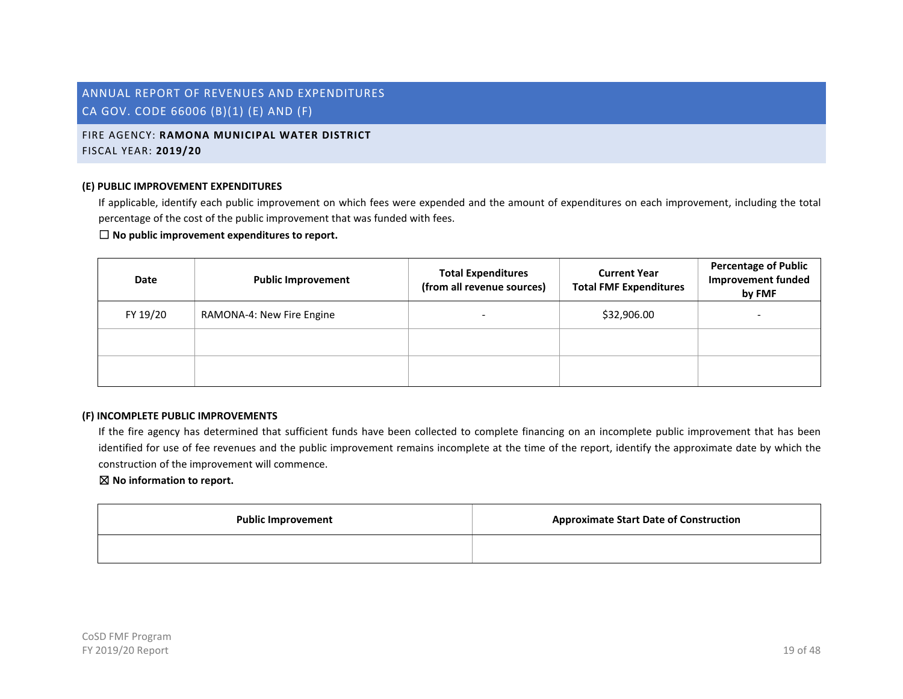# FIRE AGENCY: **RAMONA MUNICIPAL WATER DISTRICT** FISCAL YEAR: **2019/20**

#### **(E) PUBLIC IMPROVEMENT EXPENDITURES**

If applicable, identify each public improvement on which fees were expended and the amount of expenditures on each improvement, including the total percentage of the cost of the public improvement that was funded with fees.

#### ☐ **No public improvement expenditures to report.**

| Date     | <b>Public Improvement</b> | <b>Total Expenditures</b><br>(from all revenue sources) | <b>Current Year</b><br><b>Total FMF Expenditures</b> | <b>Percentage of Public</b><br><b>Improvement funded</b><br>by FMF |
|----------|---------------------------|---------------------------------------------------------|------------------------------------------------------|--------------------------------------------------------------------|
| FY 19/20 | RAMONA-4: New Fire Engine |                                                         | \$32,906.00                                          | -                                                                  |
|          |                           |                                                         |                                                      |                                                                    |
|          |                           |                                                         |                                                      |                                                                    |

#### **(F) INCOMPLETE PUBLIC IMPROVEMENTS**

If the fire agency has determined that sufficient funds have been collected to complete financing on an incomplete public improvement that has been identified for use of fee revenues and the public improvement remains incomplete at the time of the report, identify the approximate date by which the construction of the improvement will commence.

| <b>Public Improvement</b> | <b>Approximate Start Date of Construction</b> |
|---------------------------|-----------------------------------------------|
|                           |                                               |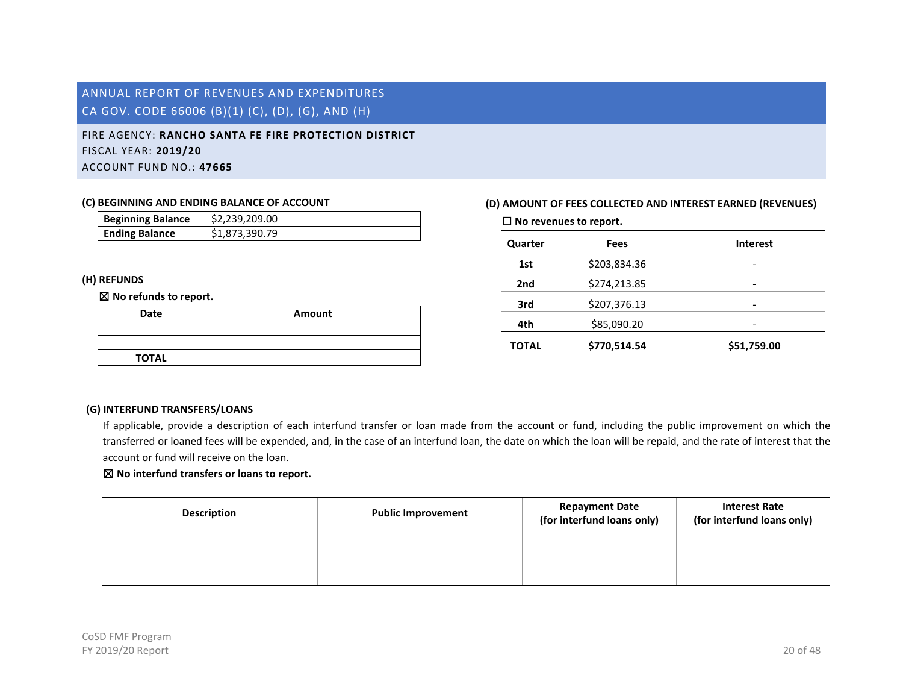# <span id="page-20-0"></span>FIRE AGENCY: **RANCHO SANTA FE FIRE PROTECTION DISTRICT** FISCAL YEAR: **2019/20** ACCOUNT FUND NO.: **47665**

#### **(C) BEGINNING AND ENDING BALANCE OF ACCOUNT**

| <b>Beginning Balance</b> | \$2,239,209.00 |
|--------------------------|----------------|
| <b>Ending Balance</b>    | \$1,873,390.79 |

### **(H) REFUNDS**

#### ☒ **No refunds to report.**

| Date         | Amount |
|--------------|--------|
|              |        |
|              |        |
| <b>TOTAL</b> |        |

# **(D) AMOUNT OF FEES COLLECTED AND INTEREST EARNED (REVENUES)**

☐ **No revenues to report.**

| Quarter      | Fees         | <b>Interest</b> |
|--------------|--------------|-----------------|
| 1st          | \$203,834.36 | -               |
| 2nd          | \$274,213.85 |                 |
| 3rd          | \$207,376.13 |                 |
| 4th          | \$85,090.20  |                 |
| <b>TOTAL</b> | \$770,514.54 | \$51,759.00     |

### **(G) INTERFUND TRANSFERS/LOANS**

If applicable, provide a description of each interfund transfer or loan made from the account or fund, including the public improvement on which the transferred or loaned fees will be expended, and, in the case of an interfund loan, the date on which the loan will be repaid, and the rate of interest that the account or fund will receive on the loan.

| <b>Description</b> | <b>Public Improvement</b> | <b>Repayment Date</b><br>(for interfund loans only) | <b>Interest Rate</b><br>(for interfund loans only) |
|--------------------|---------------------------|-----------------------------------------------------|----------------------------------------------------|
|                    |                           |                                                     |                                                    |
|                    |                           |                                                     |                                                    |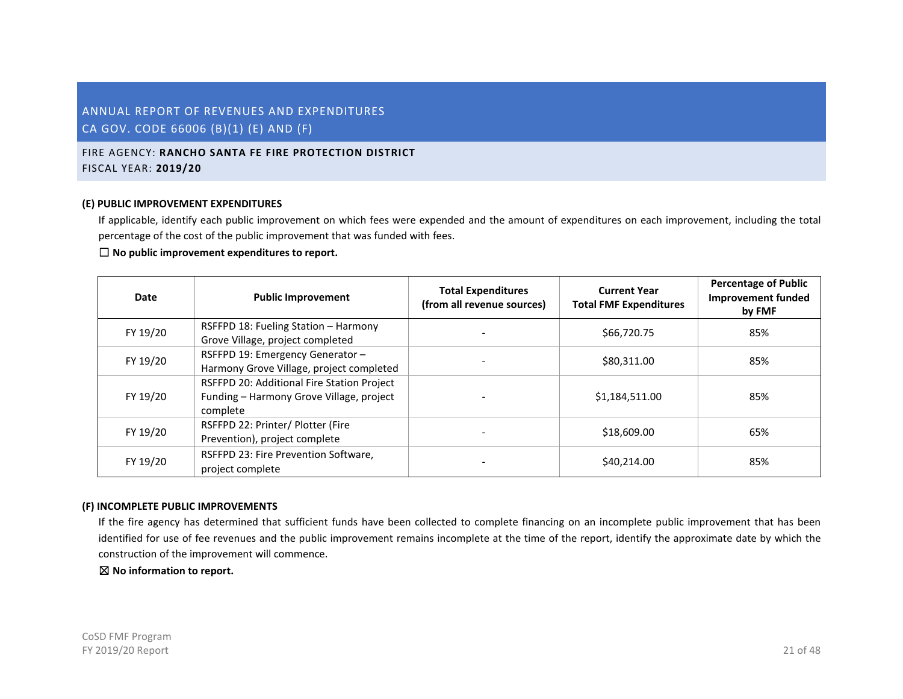# FIRE AGENCY: **RANCHO SANTA FE FIRE PROTECTION DISTRICT** FISCAL YEAR: **2019/20**

#### **(E) PUBLIC IMPROVEMENT EXPENDITURES**

If applicable, identify each public improvement on which fees were expended and the amount of expenditures on each improvement, including the total percentage of the cost of the public improvement that was funded with fees.

### ☐ **No public improvement expenditures to report.**

| Date     | <b>Public Improvement</b>                                                                          | <b>Total Expenditures</b><br>(from all revenue sources) | <b>Current Year</b><br><b>Total FMF Expenditures</b> | <b>Percentage of Public</b><br><b>Improvement funded</b><br>by FMF |
|----------|----------------------------------------------------------------------------------------------------|---------------------------------------------------------|------------------------------------------------------|--------------------------------------------------------------------|
| FY 19/20 | RSFFPD 18: Fueling Station - Harmony<br>Grove Village, project completed                           |                                                         | \$66,720.75                                          | 85%                                                                |
| FY 19/20 | RSFFPD 19: Emergency Generator -<br>Harmony Grove Village, project completed                       |                                                         | \$80,311.00                                          | 85%                                                                |
| FY 19/20 | RSFFPD 20: Additional Fire Station Project<br>Funding - Harmony Grove Village, project<br>complete |                                                         | \$1,184,511.00                                       | 85%                                                                |
| FY 19/20 | RSFFPD 22: Printer/ Plotter (Fire<br>Prevention), project complete                                 |                                                         | \$18,609.00                                          | 65%                                                                |
| FY 19/20 | RSFFPD 23: Fire Prevention Software,<br>project complete                                           |                                                         | \$40,214.00                                          | 85%                                                                |

#### **(F) INCOMPLETE PUBLIC IMPROVEMENTS**

If the fire agency has determined that sufficient funds have been collected to complete financing on an incomplete public improvement that has been identified for use of fee revenues and the public improvement remains incomplete at the time of the report, identify the approximate date by which the construction of the improvement will commence.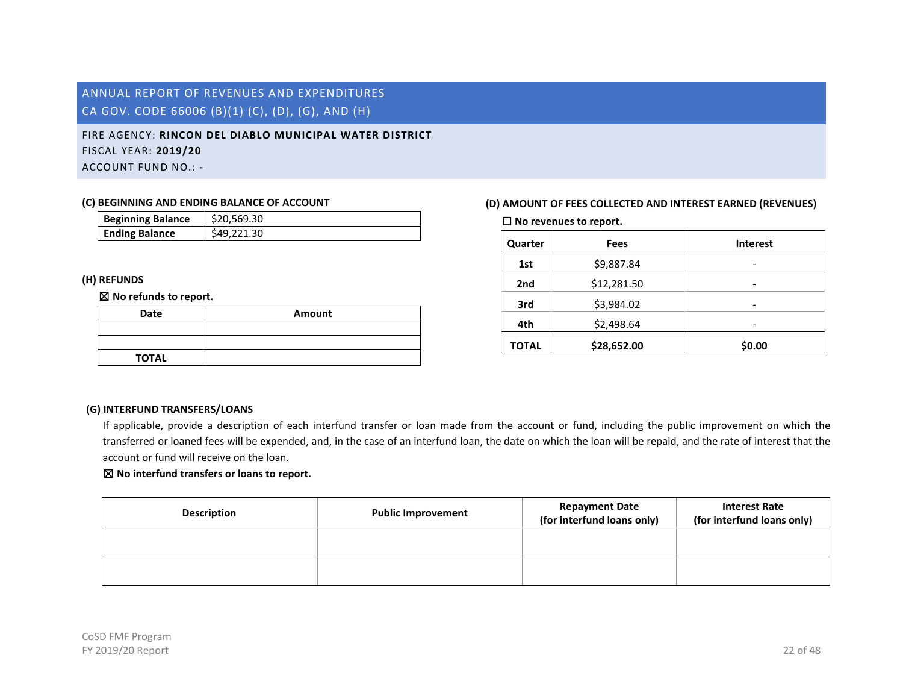# <span id="page-22-0"></span>FIRE AGENCY: **RINCON DEL DIABLO MUNICIPAL WATER DISTRICT** FISCAL YEAR: **2019/20** ACCOUNT FUND NO.: **-**

#### **(C) BEGINNING AND ENDING BALANCE OF ACCOUNT**

| <b>Beginning Balance</b> | \$20,569.30 |
|--------------------------|-------------|
| <b>Ending Balance</b>    | \$49.221.30 |

### **(H) REFUNDS**

#### ☒ **No refunds to report.**

| Date         | Amount |
|--------------|--------|
|              |        |
|              |        |
| <b>TOTAL</b> |        |

# **(D) AMOUNT OF FEES COLLECTED AND INTEREST EARNED (REVENUES)**

☐ **No revenues to report.**

| Quarter      | Fees        | <b>Interest</b> |
|--------------|-------------|-----------------|
| 1st          | \$9,887.84  | -               |
| 2nd          | \$12,281.50 | -               |
| 3rd          | \$3,984.02  |                 |
| 4th          | \$2,498.64  |                 |
| <b>TOTAL</b> | \$28,652.00 | \$0.00          |

# **(G) INTERFUND TRANSFERS/LOANS**

If applicable, provide a description of each interfund transfer or loan made from the account or fund, including the public improvement on which the transferred or loaned fees will be expended, and, in the case of an interfund loan, the date on which the loan will be repaid, and the rate of interest that the account or fund will receive on the loan.

| <b>Description</b> | <b>Public Improvement</b> | <b>Repayment Date</b><br>(for interfund loans only) | <b>Interest Rate</b><br>(for interfund loans only) |
|--------------------|---------------------------|-----------------------------------------------------|----------------------------------------------------|
|                    |                           |                                                     |                                                    |
|                    |                           |                                                     |                                                    |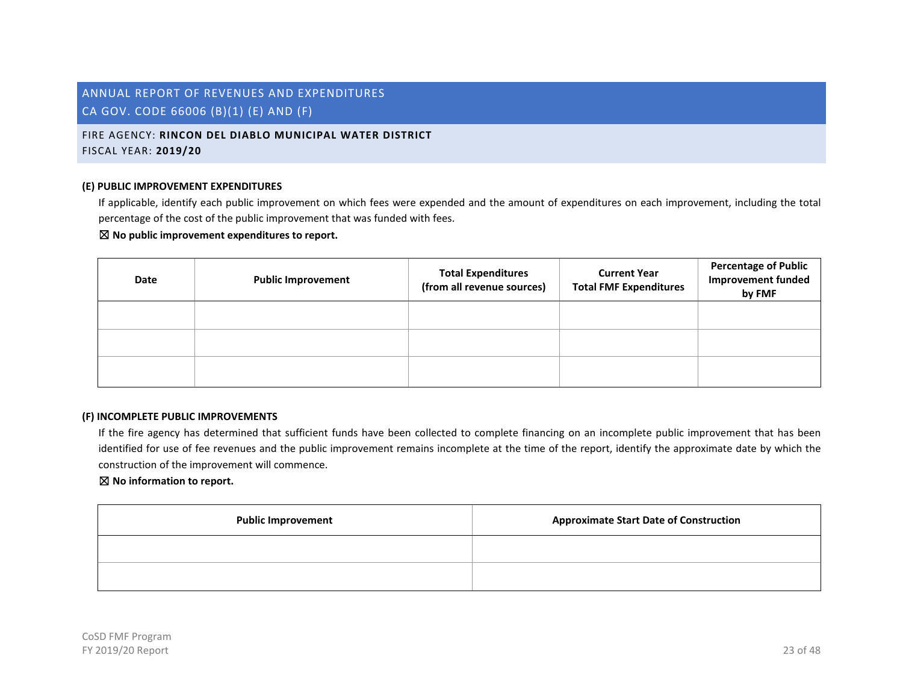FIRE AGENCY: **RINCON DEL DIABLO MUNICIPAL WATER DISTRICT** FISCAL YEAR: **2019/20**

#### **(E) PUBLIC IMPROVEMENT EXPENDITURES**

If applicable, identify each public improvement on which fees were expended and the amount of expenditures on each improvement, including the total percentage of the cost of the public improvement that was funded with fees.

#### ☒ **No public improvement expenditures to report.**

| Date | <b>Public Improvement</b> | <b>Total Expenditures</b><br>(from all revenue sources) | <b>Current Year</b><br><b>Total FMF Expenditures</b> | <b>Percentage of Public</b><br><b>Improvement funded</b><br>by FMF |
|------|---------------------------|---------------------------------------------------------|------------------------------------------------------|--------------------------------------------------------------------|
|      |                           |                                                         |                                                      |                                                                    |
|      |                           |                                                         |                                                      |                                                                    |
|      |                           |                                                         |                                                      |                                                                    |

#### **(F) INCOMPLETE PUBLIC IMPROVEMENTS**

If the fire agency has determined that sufficient funds have been collected to complete financing on an incomplete public improvement that has been identified for use of fee revenues and the public improvement remains incomplete at the time of the report, identify the approximate date by which the construction of the improvement will commence.

| <b>Public Improvement</b> | <b>Approximate Start Date of Construction</b> |
|---------------------------|-----------------------------------------------|
|                           |                                               |
|                           |                                               |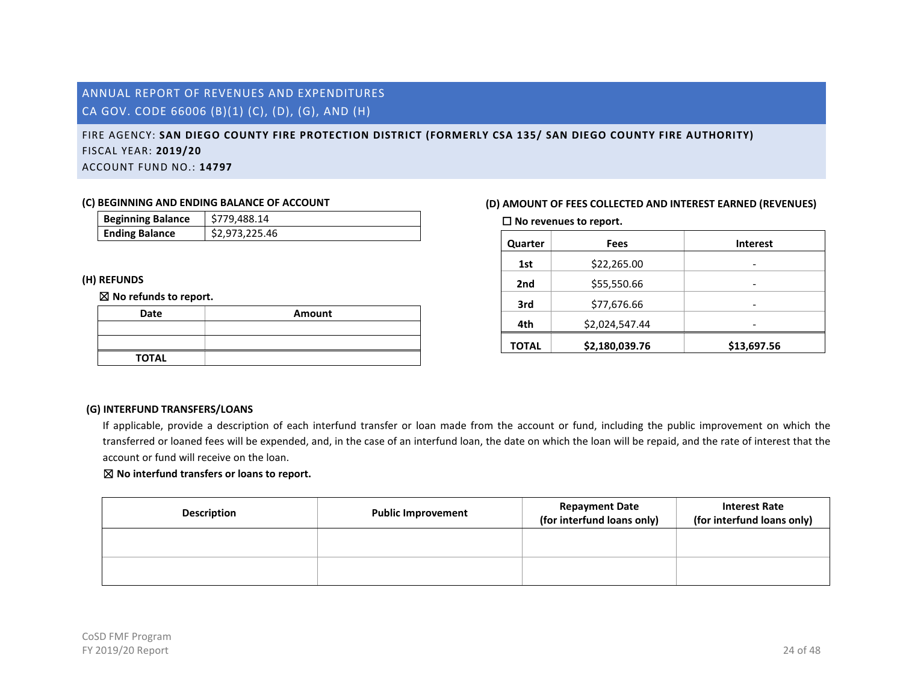# <span id="page-24-0"></span>FIRE AGENCY: **SAN DIEGO COUNTY FIRE PROTECTION DISTRICT (FORMERLY CSA 135/ SAN DIEGO COUNTY FIRE AUTHORITY)** FISCAL YEAR: **2019/20** ACCOUNT FUND NO.: **14797**

# **(C) BEGINNING AND ENDING BALANCE OF ACCOUNT**

| <b>Beginning Balance</b> | \$779,488.14   |
|--------------------------|----------------|
| <b>Ending Balance</b>    | \$2,973,225.46 |

### **(H) REFUNDS**

#### ☒ **No refunds to report.**

| Date         | Amount |
|--------------|--------|
|              |        |
|              |        |
| <b>TOTAL</b> |        |

### **(D) AMOUNT OF FEES COLLECTED AND INTEREST EARNED (REVENUES)**

☐ **No revenues to report.**

| Quarter      | Fees           | <b>Interest</b> |
|--------------|----------------|-----------------|
| 1st          | \$22,265.00    | -               |
| 2nd          | \$55,550.66    |                 |
| 3rd          | \$77,676.66    |                 |
| 4th          | \$2,024,547.44 |                 |
| <b>TOTAL</b> | \$2,180,039.76 | \$13,697.56     |

#### **(G) INTERFUND TRANSFERS/LOANS**

If applicable, provide a description of each interfund transfer or loan made from the account or fund, including the public improvement on which the transferred or loaned fees will be expended, and, in the case of an interfund loan, the date on which the loan will be repaid, and the rate of interest that the account or fund will receive on the loan.

| <b>Description</b> | <b>Public Improvement</b> | <b>Repayment Date</b><br>(for interfund loans only) | <b>Interest Rate</b><br>(for interfund loans only) |
|--------------------|---------------------------|-----------------------------------------------------|----------------------------------------------------|
|                    |                           |                                                     |                                                    |
|                    |                           |                                                     |                                                    |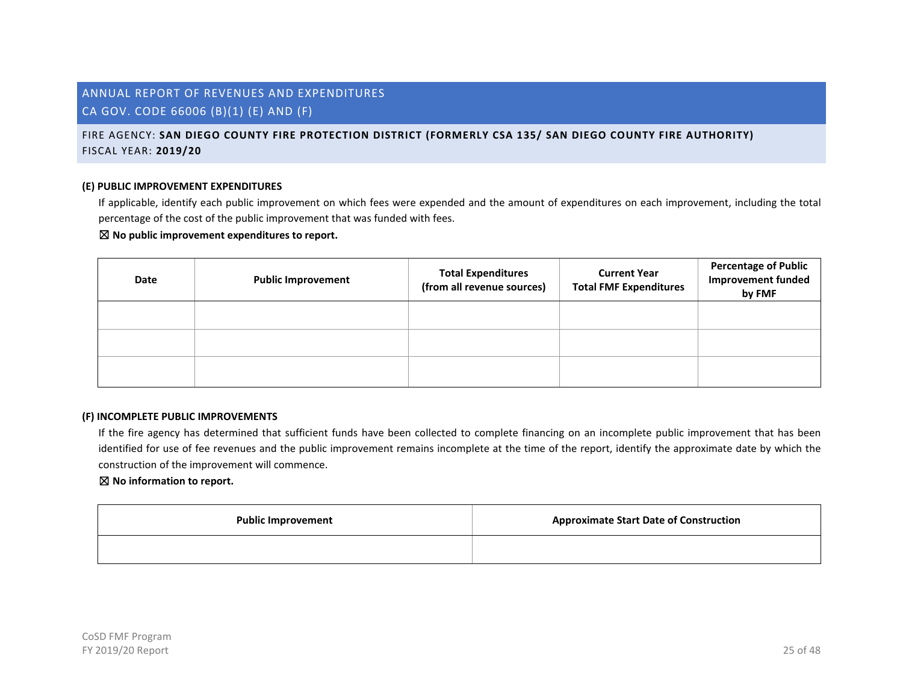# FIRE AGENCY: **SAN DIEGO COUNTY FIRE PROTECTION DISTRICT (FORMERLY CSA 135/ SAN DIEGO COUNTY FIRE AUTHORITY)** FISCAL YEAR: **2019/20**

#### **(E) PUBLIC IMPROVEMENT EXPENDITURES**

If applicable, identify each public improvement on which fees were expended and the amount of expenditures on each improvement, including the total percentage of the cost of the public improvement that was funded with fees.

#### ☒ **No public improvement expenditures to report.**

| Date | <b>Public Improvement</b> | <b>Total Expenditures</b><br>(from all revenue sources) | <b>Current Year</b><br><b>Total FMF Expenditures</b> | <b>Percentage of Public</b><br><b>Improvement funded</b><br>by FMF |
|------|---------------------------|---------------------------------------------------------|------------------------------------------------------|--------------------------------------------------------------------|
|      |                           |                                                         |                                                      |                                                                    |
|      |                           |                                                         |                                                      |                                                                    |
|      |                           |                                                         |                                                      |                                                                    |

#### **(F) INCOMPLETE PUBLIC IMPROVEMENTS**

If the fire agency has determined that sufficient funds have been collected to complete financing on an incomplete public improvement that has been identified for use of fee revenues and the public improvement remains incomplete at the time of the report, identify the approximate date by which the construction of the improvement will commence.

| <b>Public Improvement</b> | <b>Approximate Start Date of Construction</b> |
|---------------------------|-----------------------------------------------|
|                           |                                               |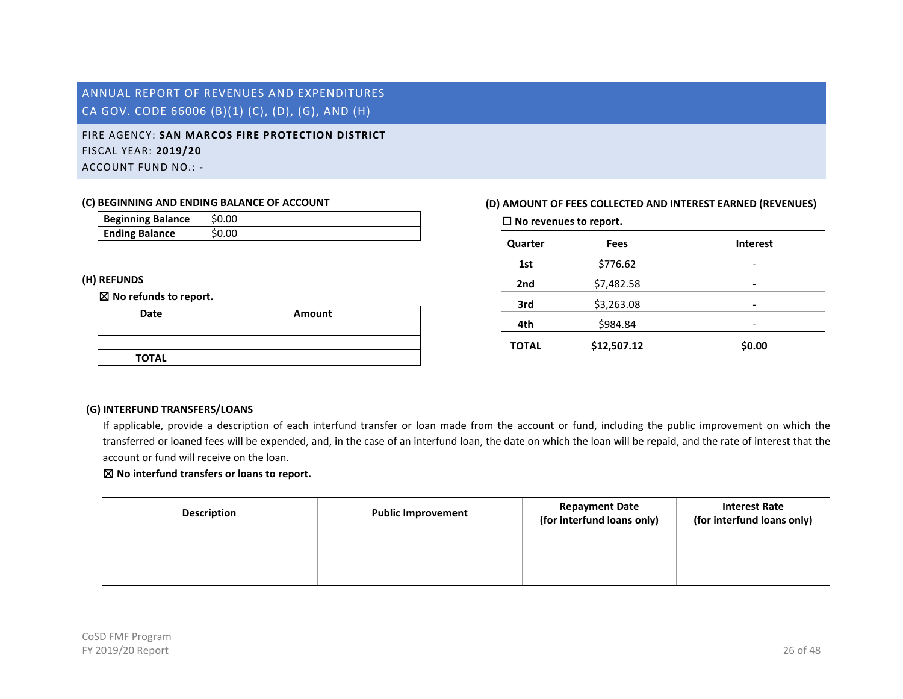# <span id="page-26-0"></span>FIRE AGENCY: **SAN MARCOS FIRE PROTECTION DISTRICT** FISCAL YEAR: **2019/20** ACCOUNT FUND NO.: **-**

#### **(C) BEGINNING AND ENDING BALANCE OF ACCOUNT**

| <b>Beginning Balance</b> | \$0.00 |
|--------------------------|--------|
| <b>Ending Balance</b>    | S0.00  |

### **(H) REFUNDS**

#### ☒ **No refunds to report.**

| Date         | Amount |
|--------------|--------|
|              |        |
|              |        |
| <b>TOTAL</b> |        |

# **(D) AMOUNT OF FEES COLLECTED AND INTEREST EARNED (REVENUES)**

☐ **No revenues to report.**

| Quarter      | <b>Fees</b> | <b>Interest</b> |
|--------------|-------------|-----------------|
| 1st          | \$776.62    | -               |
| 2nd          | \$7,482.58  | -               |
| 3rd          | \$3,263.08  | -               |
| 4th          | \$984.84    |                 |
| <b>TOTAL</b> | \$12,507.12 | \$0.00          |

### **(G) INTERFUND TRANSFERS/LOANS**

If applicable, provide a description of each interfund transfer or loan made from the account or fund, including the public improvement on which the transferred or loaned fees will be expended, and, in the case of an interfund loan, the date on which the loan will be repaid, and the rate of interest that the account or fund will receive on the loan.

| <b>Description</b> | <b>Public Improvement</b> | <b>Repayment Date</b><br>(for interfund loans only) | <b>Interest Rate</b><br>(for interfund loans only) |
|--------------------|---------------------------|-----------------------------------------------------|----------------------------------------------------|
|                    |                           |                                                     |                                                    |
|                    |                           |                                                     |                                                    |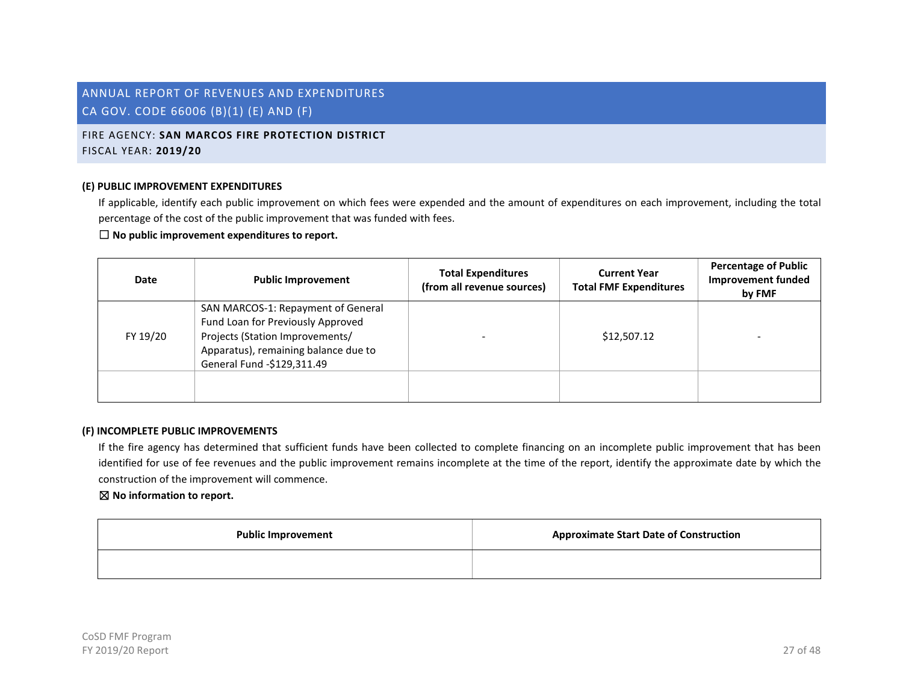# FIRE AGENCY: **SAN MARCOS FIRE PROTECTION DISTRICT** FISCAL YEAR: **2019/20**

#### **(E) PUBLIC IMPROVEMENT EXPENDITURES**

If applicable, identify each public improvement on which fees were expended and the amount of expenditures on each improvement, including the total percentage of the cost of the public improvement that was funded with fees.

# ☐ **No public improvement expenditures to report.**

| <b>Date</b> | <b>Public Improvement</b>                                                                                                                                                        | <b>Total Expenditures</b><br>(from all revenue sources) | <b>Current Year</b><br><b>Total FMF Expenditures</b> | <b>Percentage of Public</b><br><b>Improvement funded</b><br>by FMF |
|-------------|----------------------------------------------------------------------------------------------------------------------------------------------------------------------------------|---------------------------------------------------------|------------------------------------------------------|--------------------------------------------------------------------|
| FY 19/20    | SAN MARCOS-1: Repayment of General<br>Fund Loan for Previously Approved<br>Projects (Station Improvements/<br>Apparatus), remaining balance due to<br>General Fund -\$129,311.49 |                                                         | \$12,507.12                                          |                                                                    |
|             |                                                                                                                                                                                  |                                                         |                                                      |                                                                    |

#### **(F) INCOMPLETE PUBLIC IMPROVEMENTS**

If the fire agency has determined that sufficient funds have been collected to complete financing on an incomplete public improvement that has been identified for use of fee revenues and the public improvement remains incomplete at the time of the report, identify the approximate date by which the construction of the improvement will commence.

| <b>Public Improvement</b> | <b>Approximate Start Date of Construction</b> |
|---------------------------|-----------------------------------------------|
|                           |                                               |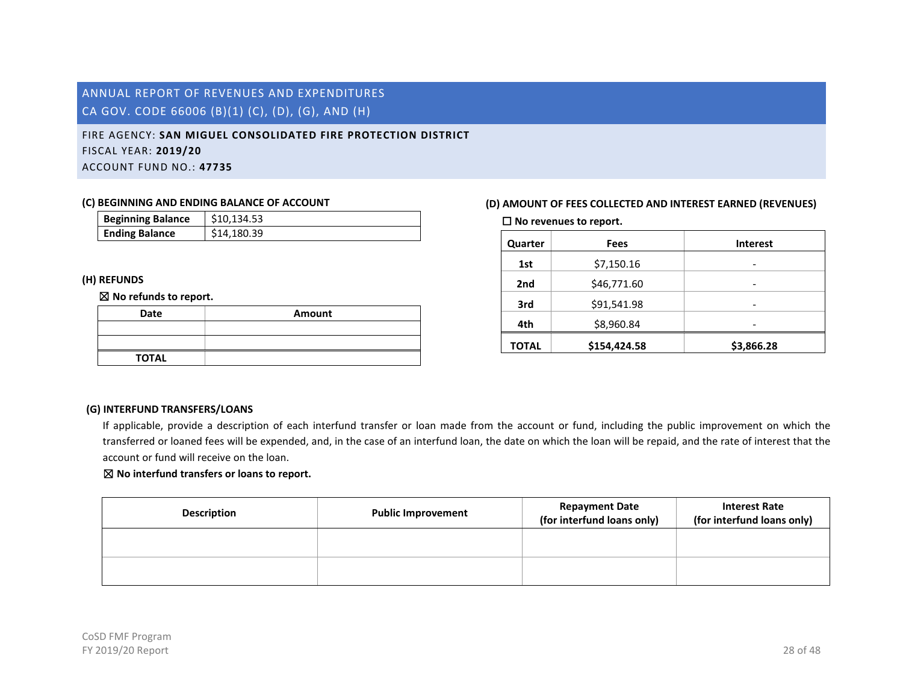# <span id="page-28-0"></span>FIRE AGENCY: **SAN MIGUEL CONSOLIDATED FIRE PROTECTION DISTRICT** FISCAL YEAR: **2019/20** ACCOUNT FUND NO.: **47735**

#### **(C) BEGINNING AND ENDING BALANCE OF ACCOUNT**

| <b>Beginning Balance</b> | \$10.134.53 |
|--------------------------|-------------|
| <b>Ending Balance</b>    | \$14,180.39 |

### **(H) REFUNDS**

#### ☒ **No refunds to report.**

| Date         | Amount |
|--------------|--------|
|              |        |
|              |        |
| <b>TOTAL</b> |        |

### **(D) AMOUNT OF FEES COLLECTED AND INTEREST EARNED (REVENUES)**

☐ **No revenues to report.**

| Quarter      | Fees         | <b>Interest</b> |
|--------------|--------------|-----------------|
| 1st          | \$7,150.16   | -               |
| 2nd          | \$46,771.60  | -               |
| 3rd          | \$91,541.98  | -               |
| 4th          | \$8,960.84   |                 |
| <b>TOTAL</b> | \$154,424.58 | \$3,866.28      |

### **(G) INTERFUND TRANSFERS/LOANS**

If applicable, provide a description of each interfund transfer or loan made from the account or fund, including the public improvement on which the transferred or loaned fees will be expended, and, in the case of an interfund loan, the date on which the loan will be repaid, and the rate of interest that the account or fund will receive on the loan.

| <b>Description</b> | <b>Public Improvement</b> | <b>Repayment Date</b><br>(for interfund loans only) | <b>Interest Rate</b><br>(for interfund loans only) |
|--------------------|---------------------------|-----------------------------------------------------|----------------------------------------------------|
|                    |                           |                                                     |                                                    |
|                    |                           |                                                     |                                                    |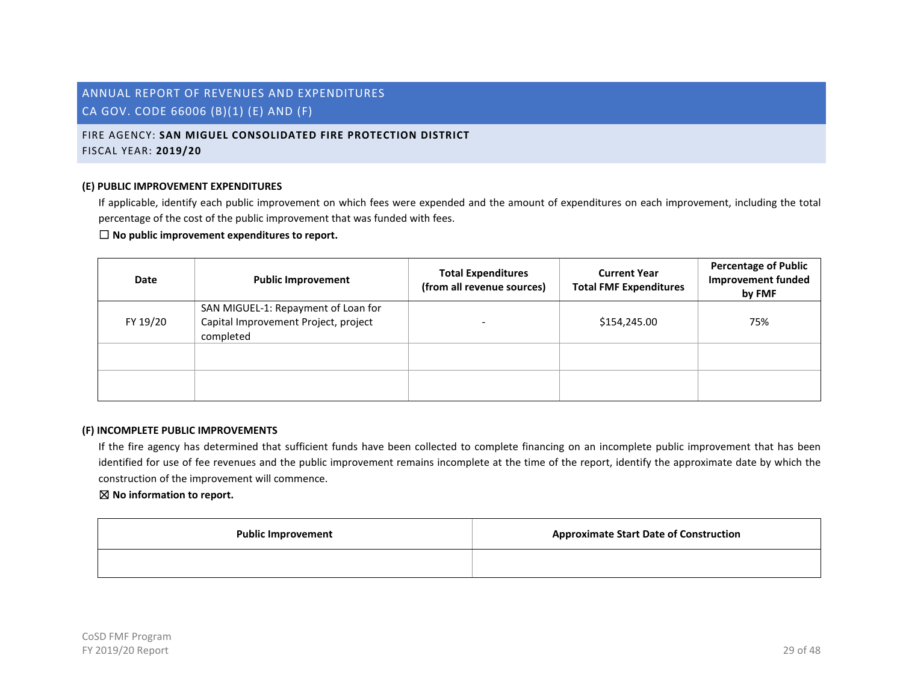# FIRE AGENCY: **SAN MIGUEL CONSOLIDATED FIRE PROTECTION DISTRICT** FISCAL YEAR: **2019/20**

#### **(E) PUBLIC IMPROVEMENT EXPENDITURES**

If applicable, identify each public improvement on which fees were expended and the amount of expenditures on each improvement, including the total percentage of the cost of the public improvement that was funded with fees.

### ☐ **No public improvement expenditures to report.**

| Date     | <b>Public Improvement</b>                                                                | <b>Total Expenditures</b><br>(from all revenue sources) | <b>Current Year</b><br><b>Total FMF Expenditures</b> | <b>Percentage of Public</b><br><b>Improvement funded</b><br>by FMF |
|----------|------------------------------------------------------------------------------------------|---------------------------------------------------------|------------------------------------------------------|--------------------------------------------------------------------|
| FY 19/20 | SAN MIGUEL-1: Repayment of Loan for<br>Capital Improvement Project, project<br>completed |                                                         | \$154,245.00                                         | 75%                                                                |
|          |                                                                                          |                                                         |                                                      |                                                                    |
|          |                                                                                          |                                                         |                                                      |                                                                    |

#### **(F) INCOMPLETE PUBLIC IMPROVEMENTS**

If the fire agency has determined that sufficient funds have been collected to complete financing on an incomplete public improvement that has been identified for use of fee revenues and the public improvement remains incomplete at the time of the report, identify the approximate date by which the construction of the improvement will commence.

| <b>Public Improvement</b> | <b>Approximate Start Date of Construction</b> |
|---------------------------|-----------------------------------------------|
|                           |                                               |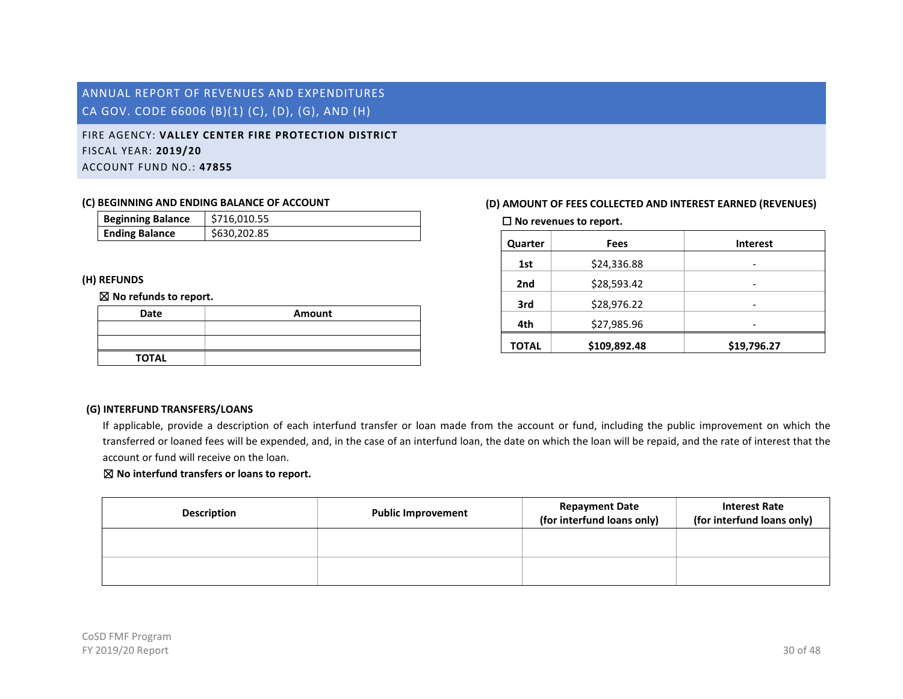# <span id="page-30-0"></span>FIRE AGENCY: **VALLEY CENTER FIRE PROTECTION DISTRICT** FISCAL YEAR: **2019/20** ACCOUNT FUND NO.: **47855**

#### **(C) BEGINNING AND ENDING BALANCE OF ACCOUNT**

| <b>Beginning Balance</b> | \$716.010.55 |
|--------------------------|--------------|
| <b>Ending Balance</b>    | \$630.202.85 |

### **(H) REFUNDS**

### ☒ **No refunds to report.**

| Date         | Amount |
|--------------|--------|
|              |        |
|              |        |
| <b>TOTAL</b> |        |

# **(D) AMOUNT OF FEES COLLECTED AND INTEREST EARNED (REVENUES)**

☐ **No revenues to report.**

| Quarter      | <b>Fees</b>  | <b>Interest</b> |
|--------------|--------------|-----------------|
| 1st          | \$24,336.88  | -               |
| 2nd          | \$28,593.42  |                 |
| 3rd          | \$28,976.22  |                 |
| 4th          | \$27,985.96  |                 |
| <b>TOTAL</b> | \$109,892.48 | \$19,796.27     |

# **(G) INTERFUND TRANSFERS/LOANS**

If applicable, provide a description of each interfund transfer or loan made from the account or fund, including the public improvement on which the transferred or loaned fees will be expended, and, in the case of an interfund loan, the date on which the loan will be repaid, and the rate of interest that the account or fund will receive on the loan.

| <b>Description</b> | <b>Public Improvement</b> | <b>Repayment Date</b><br>(for interfund loans only) | <b>Interest Rate</b><br>(for interfund loans only) |
|--------------------|---------------------------|-----------------------------------------------------|----------------------------------------------------|
|                    |                           |                                                     |                                                    |
|                    |                           |                                                     |                                                    |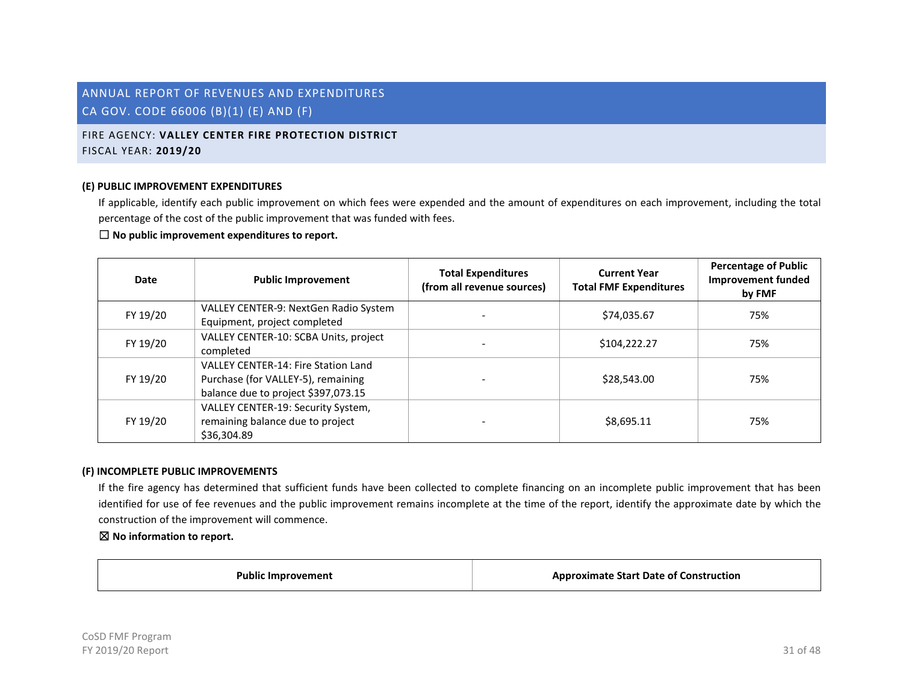# FIRE AGENCY: **VALLEY CENTER FIRE PROTECTION DISTRICT** FISCAL YEAR: **2019/20**

#### **(E) PUBLIC IMPROVEMENT EXPENDITURES**

If applicable, identify each public improvement on which fees were expended and the amount of expenditures on each improvement, including the total percentage of the cost of the public improvement that was funded with fees.

#### ☐ **No public improvement expenditures to report.**

| Date     | <b>Public Improvement</b>                                                                                               | <b>Total Expenditures</b><br>(from all revenue sources) | <b>Current Year</b><br><b>Total FMF Expenditures</b> | <b>Percentage of Public</b><br><b>Improvement funded</b><br>by FMF |
|----------|-------------------------------------------------------------------------------------------------------------------------|---------------------------------------------------------|------------------------------------------------------|--------------------------------------------------------------------|
| FY 19/20 | VALLEY CENTER-9: NextGen Radio System<br>Equipment, project completed                                                   |                                                         | \$74,035.67                                          | 75%                                                                |
| FY 19/20 | VALLEY CENTER-10: SCBA Units, project<br>completed                                                                      |                                                         | \$104,222.27                                         | 75%                                                                |
| FY 19/20 | <b>VALLEY CENTER-14: Fire Station Land</b><br>Purchase (for VALLEY-5), remaining<br>balance due to project \$397,073.15 |                                                         | \$28,543.00                                          | 75%                                                                |
| FY 19/20 | VALLEY CENTER-19: Security System,<br>remaining balance due to project<br>\$36.304.89                                   |                                                         | \$8,695.11                                           | 75%                                                                |

#### **(F) INCOMPLETE PUBLIC IMPROVEMENTS**

If the fire agency has determined that sufficient funds have been collected to complete financing on an incomplete public improvement that has been identified for use of fee revenues and the public improvement remains incomplete at the time of the report, identify the approximate date by which the construction of the improvement will commence.

☒ **No information to report.**

**Public Improvement Approximate Start Date of Construction**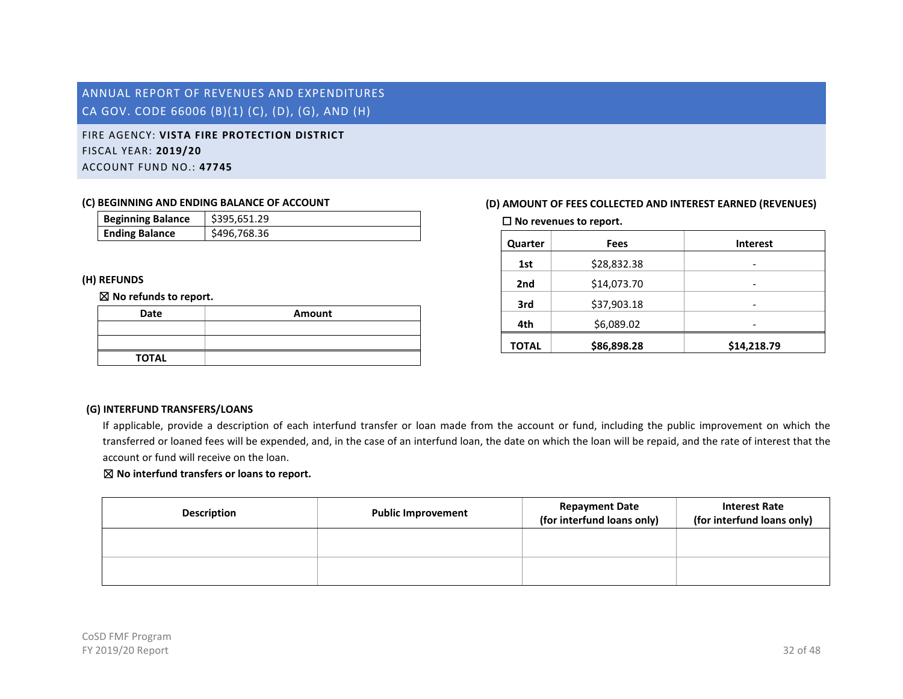<span id="page-32-0"></span>FIRE AGENCY: **VISTA FIRE PROTECTION DISTRICT** FISCAL YEAR: **2019/20** ACCOUNT FUND NO.: **47745**

#### **(C) BEGINNING AND ENDING BALANCE OF ACCOUNT**

| <b>Beginning Balance</b> | \$395.651.29 |
|--------------------------|--------------|
| <b>Ending Balance</b>    | \$496,768.36 |

### **(H) REFUNDS**

#### ☒ **No refunds to report.**

| Date         | Amount |
|--------------|--------|
|              |        |
|              |        |
| <b>TOTAL</b> |        |

# **(D) AMOUNT OF FEES COLLECTED AND INTEREST EARNED (REVENUES)**

☐ **No revenues to report.**

| Quarter      | Fees        | <b>Interest</b> |
|--------------|-------------|-----------------|
| 1st          | \$28,832.38 | -               |
| 2nd          | \$14,073.70 |                 |
| 3rd          | \$37,903.18 |                 |
| 4th          | \$6,089.02  |                 |
| <b>TOTAL</b> | \$86,898.28 | \$14,218.79     |

### **(G) INTERFUND TRANSFERS/LOANS**

If applicable, provide a description of each interfund transfer or loan made from the account or fund, including the public improvement on which the transferred or loaned fees will be expended, and, in the case of an interfund loan, the date on which the loan will be repaid, and the rate of interest that the account or fund will receive on the loan.

| <b>Description</b> | <b>Public Improvement</b> | <b>Repayment Date</b><br>(for interfund loans only) | <b>Interest Rate</b><br>(for interfund loans only) |
|--------------------|---------------------------|-----------------------------------------------------|----------------------------------------------------|
|                    |                           |                                                     |                                                    |
|                    |                           |                                                     |                                                    |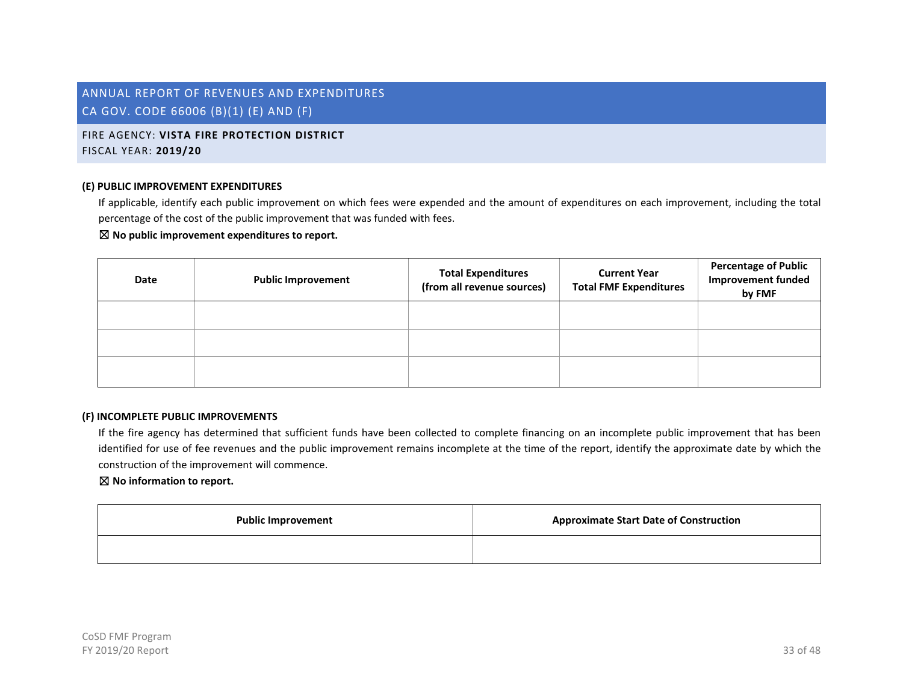# FIRE AGENCY: **VISTA FIRE PROTECTION DISTRICT** FISCAL YEAR: **2019/20**

#### **(E) PUBLIC IMPROVEMENT EXPENDITURES**

If applicable, identify each public improvement on which fees were expended and the amount of expenditures on each improvement, including the total percentage of the cost of the public improvement that was funded with fees.

#### ☒ **No public improvement expenditures to report.**

| Date | <b>Public Improvement</b> | <b>Total Expenditures</b><br>(from all revenue sources) | <b>Current Year</b><br><b>Total FMF Expenditures</b> | <b>Percentage of Public</b><br><b>Improvement funded</b><br>by FMF |
|------|---------------------------|---------------------------------------------------------|------------------------------------------------------|--------------------------------------------------------------------|
|      |                           |                                                         |                                                      |                                                                    |
|      |                           |                                                         |                                                      |                                                                    |
|      |                           |                                                         |                                                      |                                                                    |

#### **(F) INCOMPLETE PUBLIC IMPROVEMENTS**

If the fire agency has determined that sufficient funds have been collected to complete financing on an incomplete public improvement that has been identified for use of fee revenues and the public improvement remains incomplete at the time of the report, identify the approximate date by which the construction of the improvement will commence.

| <b>Public Improvement</b> | <b>Approximate Start Date of Construction</b> |
|---------------------------|-----------------------------------------------|
|                           |                                               |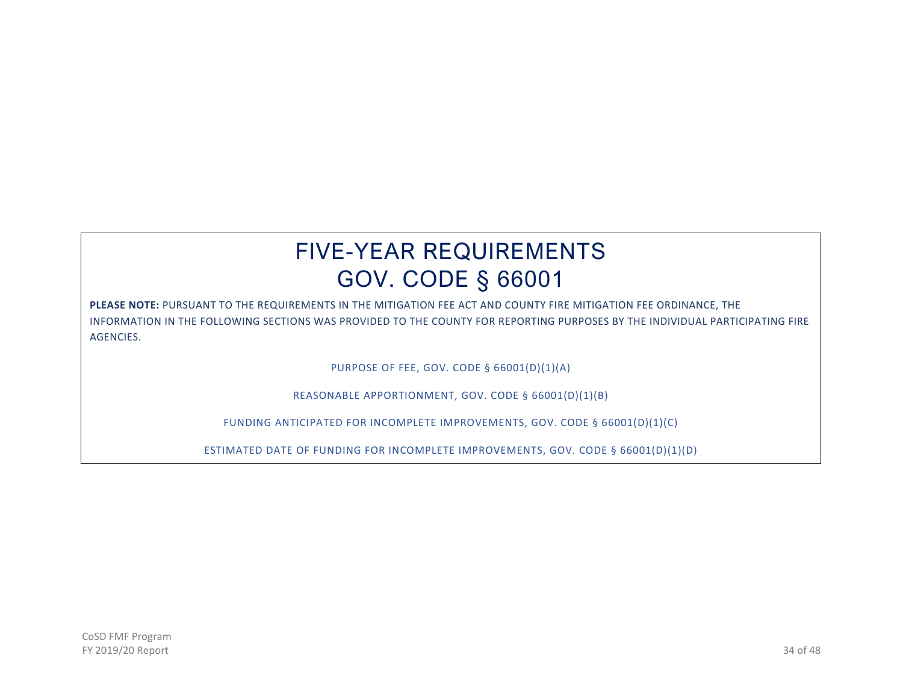# FIVE-YEAR REQUIREMENTS GOV. CODE § 66001

**PLEASE NOTE:** PURSUANT TO THE REQUIREMENTS IN THE MITIGATION FEE ACT AND COUNTY FIRE MITIGATION FEE ORDINANCE, THE INFORMATION IN THE FOLLOWING SECTIONS WAS PROVIDED TO THE COUNTY FOR REPORTING PURPOSES BY THE INDIVIDUAL PARTICIPATING FIRE AGENCIES.

PURPOSE OF FEE, GOV. CODE § 66001(D)(1)(A)

REASONABLE APPORTIONMENT, GOV. CODE § 66001(D)(1)(B)

FUNDING ANTICIPATED FOR INCOMPLETE IMPROVEMENTS, GOV. CODE § 66001(D)(1)(C)

ESTIMATED DATE OF FUNDING FOR INCOMPLETE IMPROVEMENTS, GOV. CODE § 66001(D)(1)(D)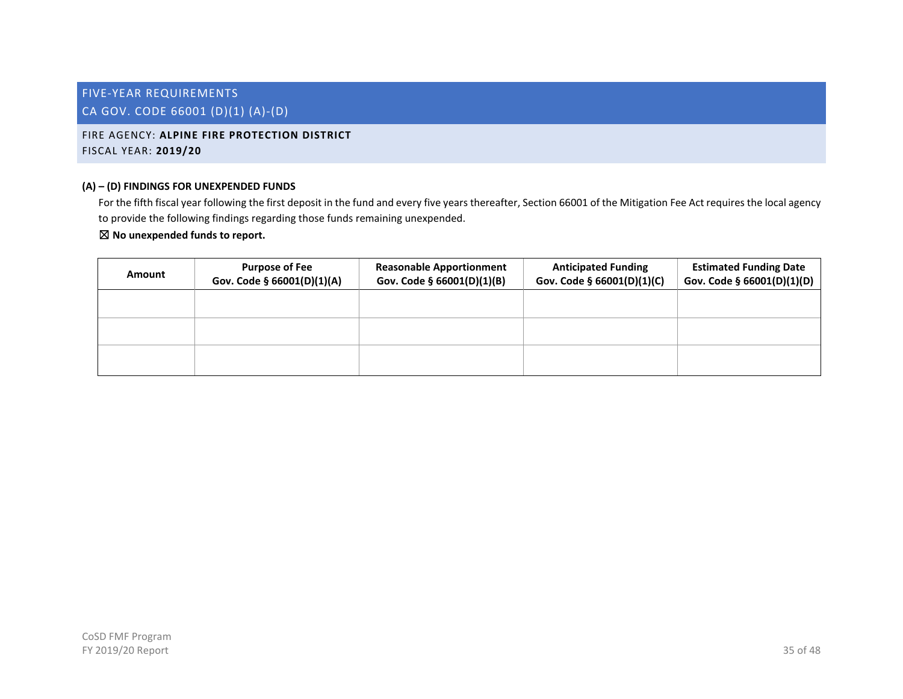# <span id="page-35-1"></span><span id="page-35-0"></span>FIRE AGENCY: **ALPINE FIRE PROTECTION DISTRICT** FISCAL YEAR: **2019/20**

### **(A) – (D) FINDINGS FOR UNEXPENDED FUNDS**

For the fifth fiscal year following the first deposit in the fund and every five years thereafter, Section 66001 of the Mitigation Fee Act requires the local agency to provide the following findings regarding those funds remaining unexpended.

| Amount | <b>Purpose of Fee</b><br>Gov. Code § 66001(D)(1)(A) | <b>Reasonable Apportionment</b><br>Gov. Code § 66001(D)(1)(B) | <b>Anticipated Funding</b><br>Gov. Code § 66001(D)(1)(C) | <b>Estimated Funding Date</b><br>Gov. Code § 66001(D)(1)(D) |
|--------|-----------------------------------------------------|---------------------------------------------------------------|----------------------------------------------------------|-------------------------------------------------------------|
|        |                                                     |                                                               |                                                          |                                                             |
|        |                                                     |                                                               |                                                          |                                                             |
|        |                                                     |                                                               |                                                          |                                                             |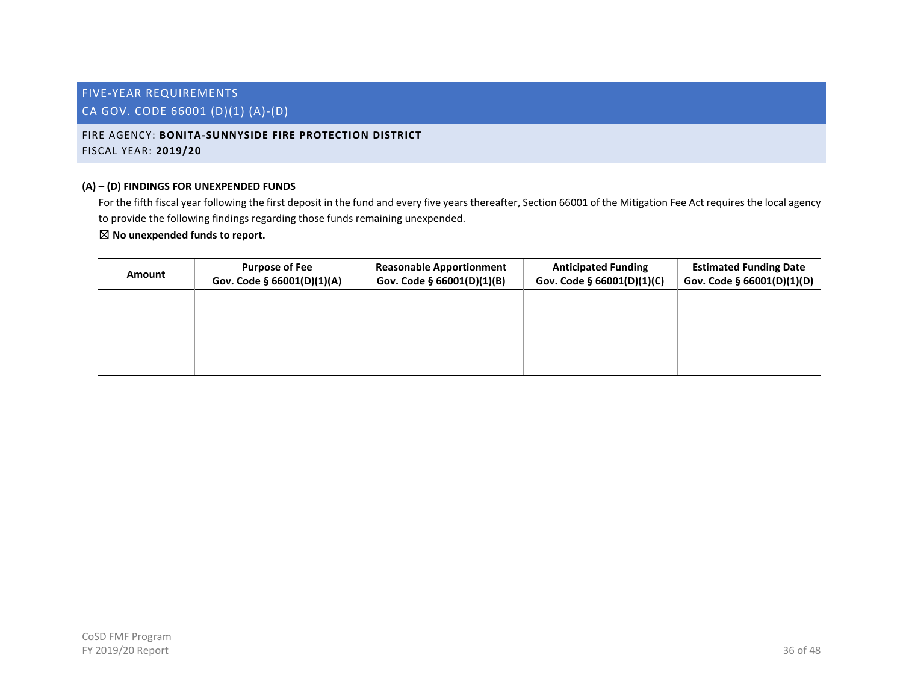<span id="page-36-0"></span>FIRE AGENCY: **BONITA-SUNNYSIDE FIRE PROTECTION DISTRICT** FISCAL YEAR: **2019/20**

# **(A) – (D) FINDINGS FOR UNEXPENDED FUNDS**

For the fifth fiscal year following the first deposit in the fund and every five years thereafter, Section 66001 of the Mitigation Fee Act requires the local agency to provide the following findings regarding those funds remaining unexpended.

| Amount | <b>Purpose of Fee</b><br>Gov. Code § 66001(D)(1)(A) | <b>Reasonable Apportionment</b><br>Gov. Code § 66001(D)(1)(B) | <b>Anticipated Funding</b><br>Gov. Code § 66001(D)(1)(C) | <b>Estimated Funding Date</b><br>Gov. Code § 66001(D)(1)(D) |
|--------|-----------------------------------------------------|---------------------------------------------------------------|----------------------------------------------------------|-------------------------------------------------------------|
|        |                                                     |                                                               |                                                          |                                                             |
|        |                                                     |                                                               |                                                          |                                                             |
|        |                                                     |                                                               |                                                          |                                                             |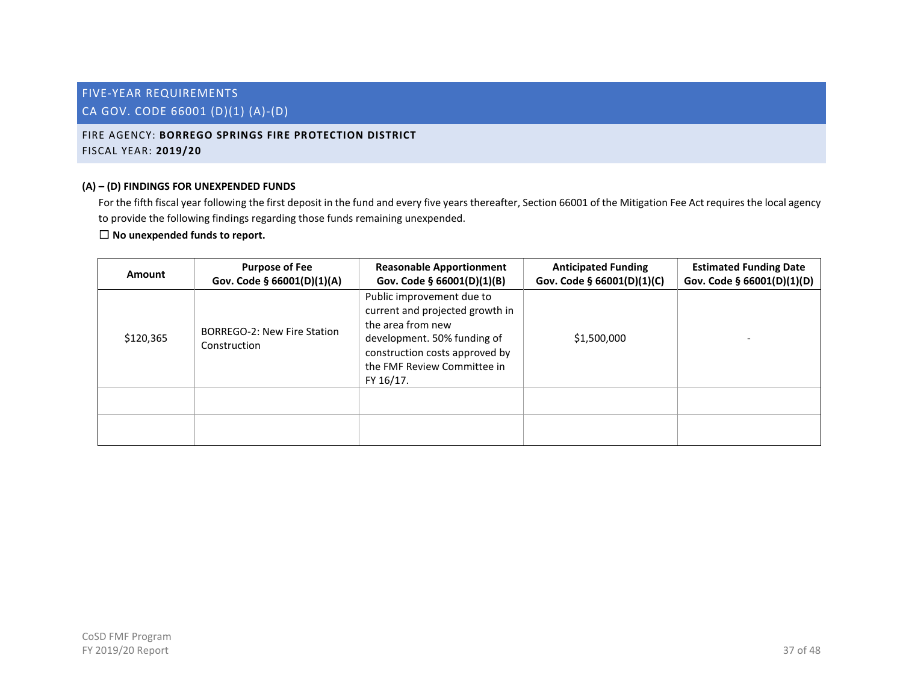# <span id="page-37-0"></span>FIRE AGENCY: **BORREGO SPRINGS FIRE PROTECTION DISTRICT** FISCAL YEAR: **2019/20**

# **(A) – (D) FINDINGS FOR UNEXPENDED FUNDS**

For the fifth fiscal year following the first deposit in the fund and every five years thereafter, Section 66001 of the Mitigation Fee Act requires the local agency to provide the following findings regarding those funds remaining unexpended.

| Amount    | <b>Purpose of Fee</b><br>Gov. Code § 66001(D)(1)(A) | <b>Reasonable Apportionment</b><br>Gov. Code § 66001(D)(1)(B)                                                                                                                                  | <b>Anticipated Funding</b><br>Gov. Code § 66001(D)(1)(C) | <b>Estimated Funding Date</b><br>Gov. Code § 66001(D)(1)(D) |
|-----------|-----------------------------------------------------|------------------------------------------------------------------------------------------------------------------------------------------------------------------------------------------------|----------------------------------------------------------|-------------------------------------------------------------|
| \$120,365 | BORREGO-2: New Fire Station<br>Construction         | Public improvement due to<br>current and projected growth in<br>the area from new<br>development. 50% funding of<br>construction costs approved by<br>the FMF Review Committee in<br>FY 16/17. | \$1,500,000                                              |                                                             |
|           |                                                     |                                                                                                                                                                                                |                                                          |                                                             |
|           |                                                     |                                                                                                                                                                                                |                                                          |                                                             |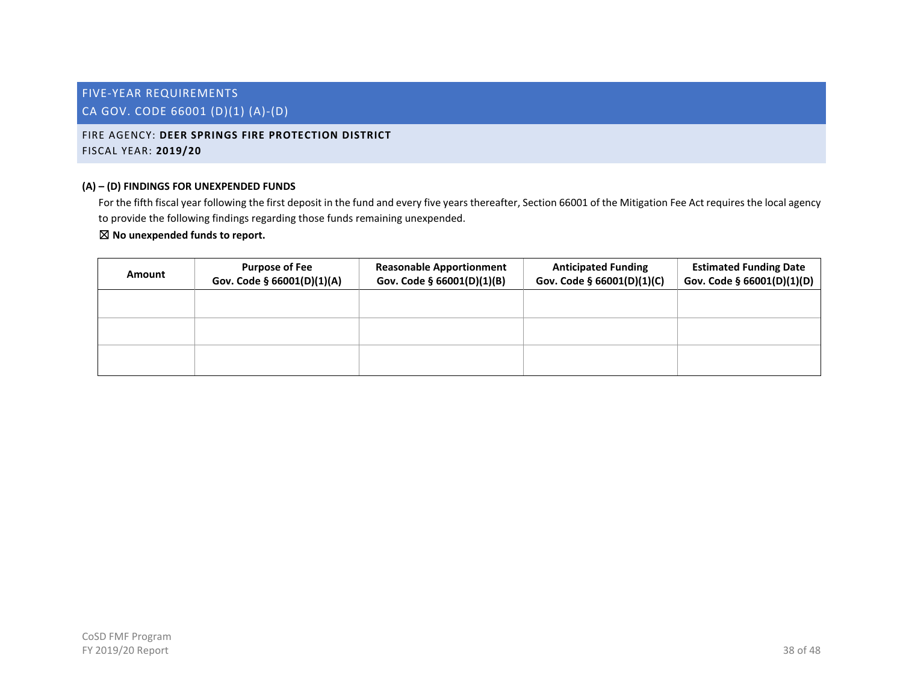# <span id="page-38-0"></span>FIRE AGENCY: **DEER SPRINGS FIRE PROTECTION DISTRICT** FISCAL YEAR: **2019/20**

# **(A) – (D) FINDINGS FOR UNEXPENDED FUNDS**

For the fifth fiscal year following the first deposit in the fund and every five years thereafter, Section 66001 of the Mitigation Fee Act requires the local agency to provide the following findings regarding those funds remaining unexpended.

| Amount | <b>Purpose of Fee</b><br>Gov. Code § 66001(D)(1)(A) | <b>Reasonable Apportionment</b><br>Gov. Code § 66001(D)(1)(B) | <b>Anticipated Funding</b><br>Gov. Code § 66001(D)(1)(C) | <b>Estimated Funding Date</b><br>Gov. Code § 66001(D)(1)(D) |
|--------|-----------------------------------------------------|---------------------------------------------------------------|----------------------------------------------------------|-------------------------------------------------------------|
|        |                                                     |                                                               |                                                          |                                                             |
|        |                                                     |                                                               |                                                          |                                                             |
|        |                                                     |                                                               |                                                          |                                                             |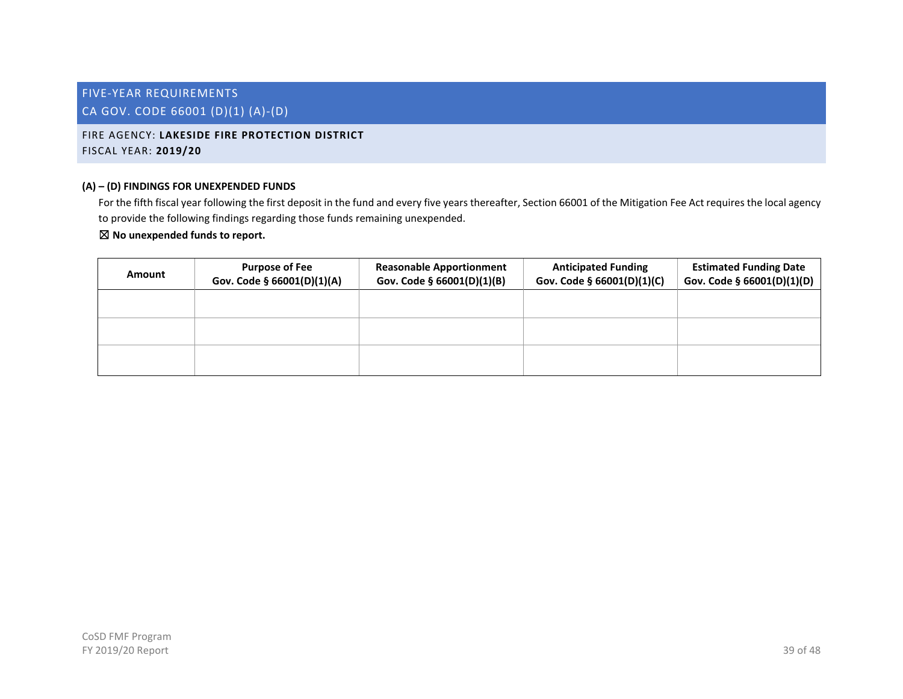# <span id="page-39-0"></span>FIRE AGENCY: **LAKESIDE FIRE PROTECTION DISTRICT** FISCAL YEAR: **2019/20**

# **(A) – (D) FINDINGS FOR UNEXPENDED FUNDS**

For the fifth fiscal year following the first deposit in the fund and every five years thereafter, Section 66001 of the Mitigation Fee Act requires the local agency to provide the following findings regarding those funds remaining unexpended.

| Amount | <b>Purpose of Fee</b><br>Gov. Code § 66001(D)(1)(A) | <b>Reasonable Apportionment</b><br>Gov. Code § 66001(D)(1)(B) | <b>Anticipated Funding</b><br>Gov. Code § 66001(D)(1)(C) | <b>Estimated Funding Date</b><br>Gov. Code § 66001(D)(1)(D) |
|--------|-----------------------------------------------------|---------------------------------------------------------------|----------------------------------------------------------|-------------------------------------------------------------|
|        |                                                     |                                                               |                                                          |                                                             |
|        |                                                     |                                                               |                                                          |                                                             |
|        |                                                     |                                                               |                                                          |                                                             |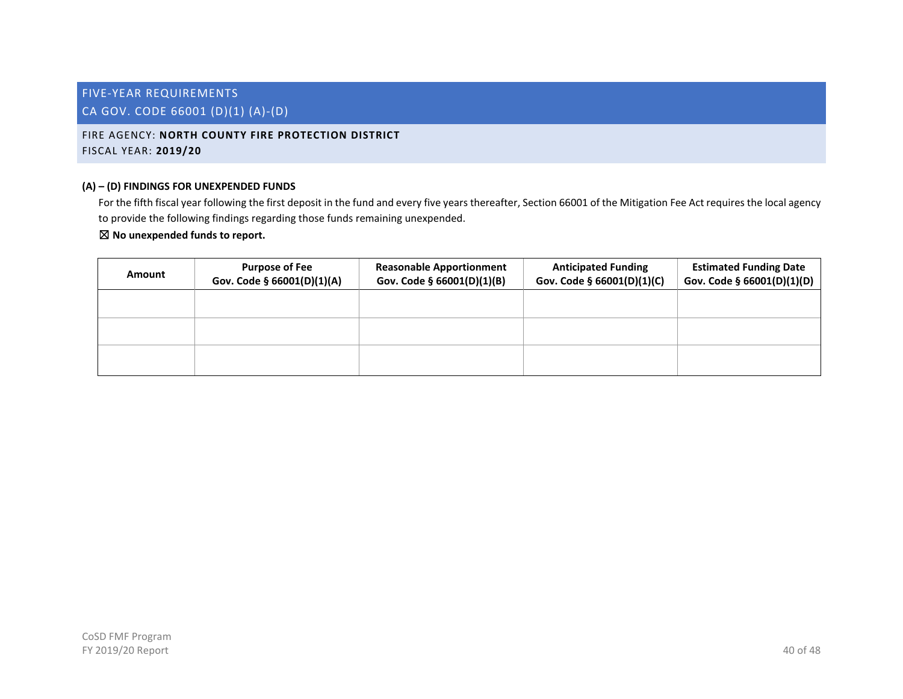# <span id="page-40-0"></span>FIRE AGENCY: **NORTH COUNTY FIRE PROTECTION DISTRICT** FISCAL YEAR: **2019/20**

# **(A) – (D) FINDINGS FOR UNEXPENDED FUNDS**

For the fifth fiscal year following the first deposit in the fund and every five years thereafter, Section 66001 of the Mitigation Fee Act requires the local agency to provide the following findings regarding those funds remaining unexpended.

| Amount | <b>Purpose of Fee</b><br>Gov. Code § 66001(D)(1)(A) | <b>Reasonable Apportionment</b><br>Gov. Code § 66001(D)(1)(B) | <b>Anticipated Funding</b><br>Gov. Code § 66001(D)(1)(C) | <b>Estimated Funding Date</b><br>Gov. Code § 66001(D)(1)(D) |
|--------|-----------------------------------------------------|---------------------------------------------------------------|----------------------------------------------------------|-------------------------------------------------------------|
|        |                                                     |                                                               |                                                          |                                                             |
|        |                                                     |                                                               |                                                          |                                                             |
|        |                                                     |                                                               |                                                          |                                                             |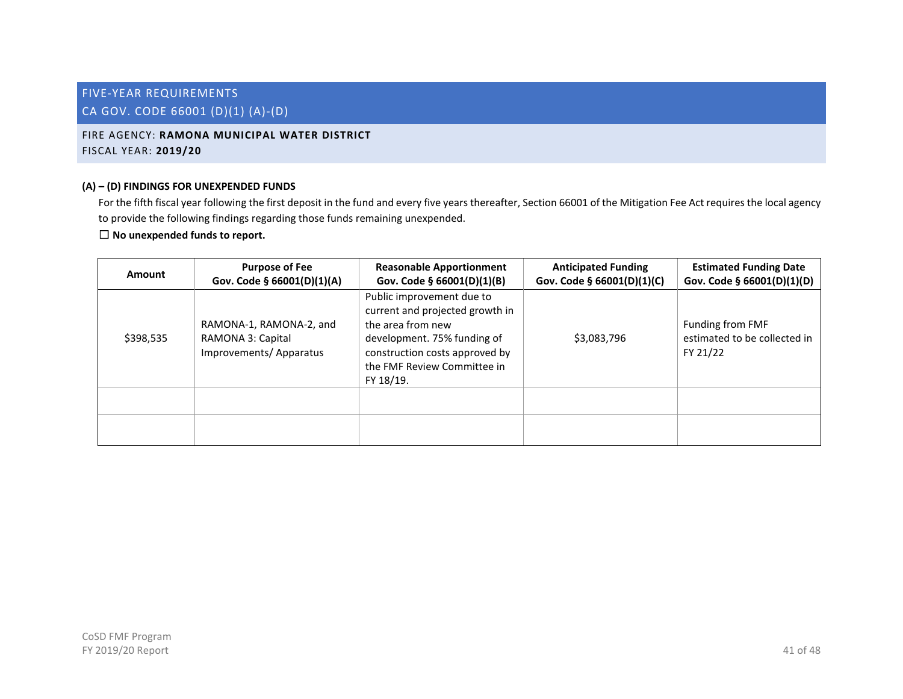# <span id="page-41-0"></span>FIRE AGENCY: **RAMONA MUNICIPAL WATER DISTRICT** FISCAL YEAR: **2019/20**

# **(A) – (D) FINDINGS FOR UNEXPENDED FUNDS**

For the fifth fiscal year following the first deposit in the fund and every five years thereafter, Section 66001 of the Mitigation Fee Act requires the local agency to provide the following findings regarding those funds remaining unexpended.

| Amount    | <b>Purpose of Fee</b><br>Gov. Code § 66001(D)(1)(A)                    | <b>Reasonable Apportionment</b><br>Gov. Code § 66001(D)(1)(B)                                                                                                                                  | <b>Anticipated Funding</b><br>Gov. Code § 66001(D)(1)(C) | <b>Estimated Funding Date</b><br>Gov. Code § 66001(D)(1)(D)  |
|-----------|------------------------------------------------------------------------|------------------------------------------------------------------------------------------------------------------------------------------------------------------------------------------------|----------------------------------------------------------|--------------------------------------------------------------|
| \$398,535 | RAMONA-1, RAMONA-2, and<br>RAMONA 3: Capital<br>Improvements/Apparatus | Public improvement due to<br>current and projected growth in<br>the area from new<br>development. 75% funding of<br>construction costs approved by<br>the FMF Review Committee in<br>FY 18/19. | \$3,083,796                                              | Funding from FMF<br>estimated to be collected in<br>FY 21/22 |
|           |                                                                        |                                                                                                                                                                                                |                                                          |                                                              |
|           |                                                                        |                                                                                                                                                                                                |                                                          |                                                              |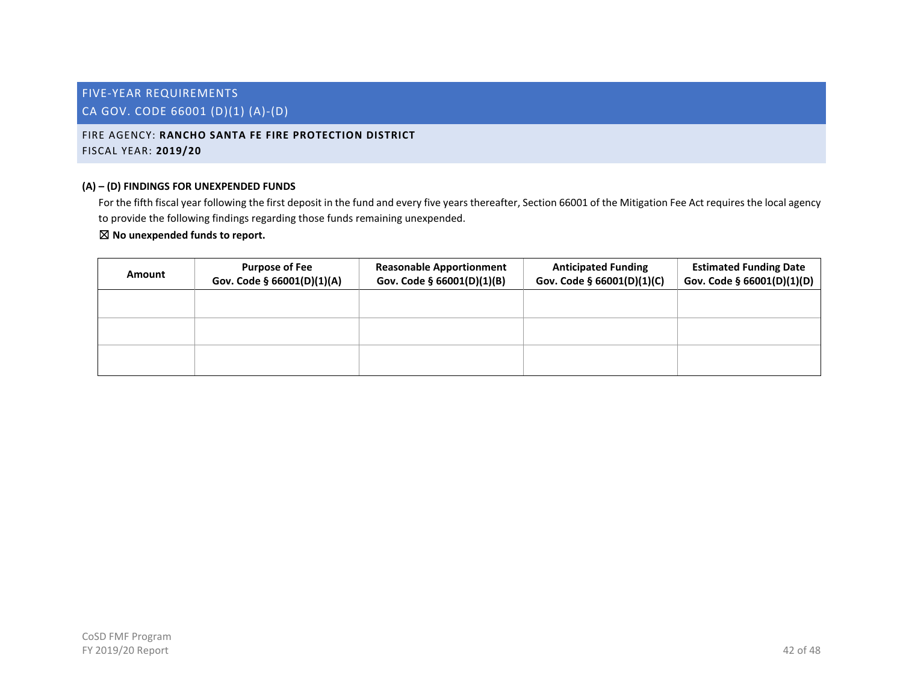# <span id="page-42-0"></span>FIRE AGENCY: **RANCHO SANTA FE FIRE PROTECTION DISTRICT** FISCAL YEAR: **2019/20**

# **(A) – (D) FINDINGS FOR UNEXPENDED FUNDS**

For the fifth fiscal year following the first deposit in the fund and every five years thereafter, Section 66001 of the Mitigation Fee Act requires the local agency to provide the following findings regarding those funds remaining unexpended.

| Amount | <b>Purpose of Fee</b><br>Gov. Code § 66001(D)(1)(A) | <b>Reasonable Apportionment</b><br>Gov. Code § 66001(D)(1)(B) | <b>Anticipated Funding</b><br>Gov. Code § 66001(D)(1)(C) | <b>Estimated Funding Date</b><br>Gov. Code § 66001(D)(1)(D) |
|--------|-----------------------------------------------------|---------------------------------------------------------------|----------------------------------------------------------|-------------------------------------------------------------|
|        |                                                     |                                                               |                                                          |                                                             |
|        |                                                     |                                                               |                                                          |                                                             |
|        |                                                     |                                                               |                                                          |                                                             |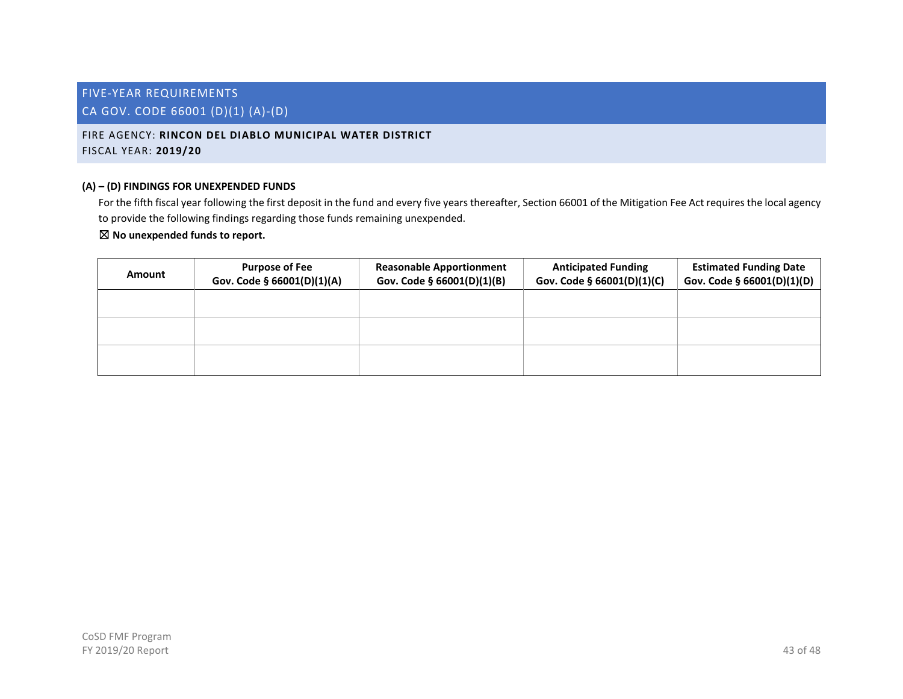<span id="page-43-0"></span>FIRE AGENCY: **RINCON DEL DIABLO MUNICIPAL WATER DISTRICT** FISCAL YEAR: **2019/20**

# **(A) – (D) FINDINGS FOR UNEXPENDED FUNDS**

For the fifth fiscal year following the first deposit in the fund and every five years thereafter, Section 66001 of the Mitigation Fee Act requires the local agency to provide the following findings regarding those funds remaining unexpended.

| Amount | <b>Purpose of Fee</b><br>Gov. Code § 66001(D)(1)(A) | <b>Reasonable Apportionment</b><br>Gov. Code § 66001(D)(1)(B) | <b>Anticipated Funding</b><br>Gov. Code § 66001(D)(1)(C) | <b>Estimated Funding Date</b><br>Gov. Code § 66001(D)(1)(D) |
|--------|-----------------------------------------------------|---------------------------------------------------------------|----------------------------------------------------------|-------------------------------------------------------------|
|        |                                                     |                                                               |                                                          |                                                             |
|        |                                                     |                                                               |                                                          |                                                             |
|        |                                                     |                                                               |                                                          |                                                             |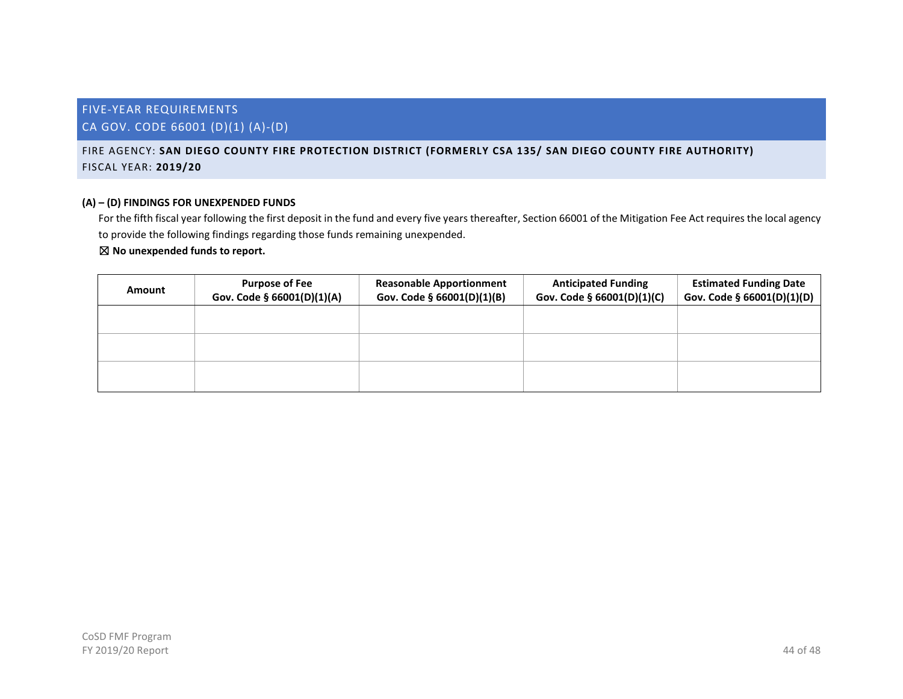# <span id="page-44-0"></span>FIRE AGENCY: **SAN DIEGO COUNTY FIRE PROTECTION DISTRICT (FORMERLY CSA 135/ SAN DIEGO COUNTY FIRE AUTHORITY)** FISCAL YEAR: **2019/20**

# **(A) – (D) FINDINGS FOR UNEXPENDED FUNDS**

For the fifth fiscal year following the first deposit in the fund and every five years thereafter, Section 66001 of the Mitigation Fee Act requires the local agency to provide the following findings regarding those funds remaining unexpended.

| Amount | <b>Purpose of Fee</b><br>Gov. Code § 66001(D)(1)(A) | <b>Reasonable Apportionment</b><br>Gov. Code § 66001(D)(1)(B) | <b>Anticipated Funding</b><br>Gov. Code § 66001(D)(1)(C) | <b>Estimated Funding Date</b><br>Gov. Code § 66001(D)(1)(D) |
|--------|-----------------------------------------------------|---------------------------------------------------------------|----------------------------------------------------------|-------------------------------------------------------------|
|        |                                                     |                                                               |                                                          |                                                             |
|        |                                                     |                                                               |                                                          |                                                             |
|        |                                                     |                                                               |                                                          |                                                             |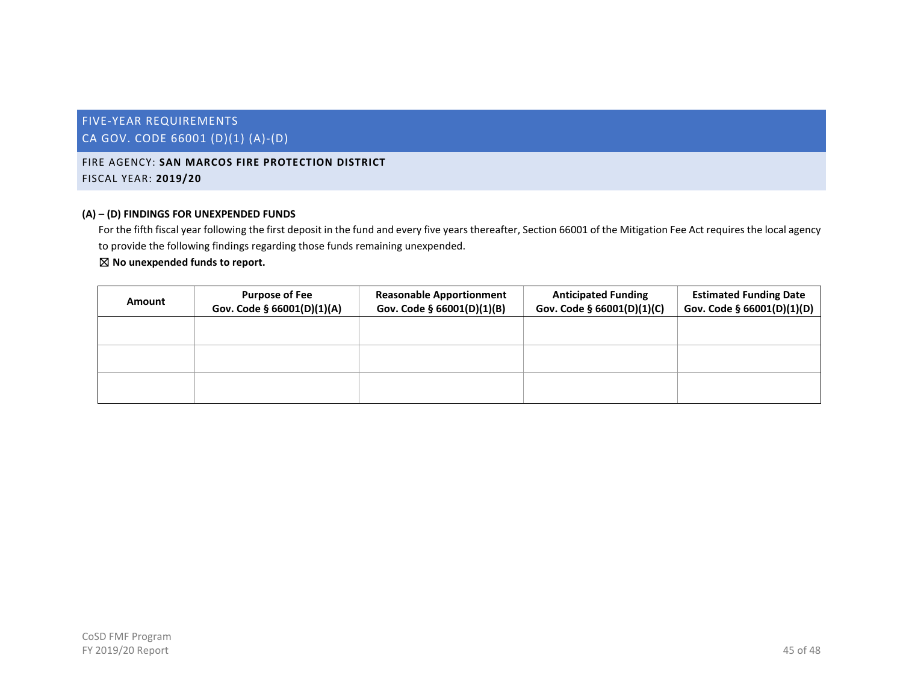# FIVE-YEAR REQUIREMENTS

# CA GOV. CODE 66001 (D)(1) (A)-(D)

# <span id="page-45-0"></span>FIRE AGENCY: **SAN MARCOS FIRE PROTECTION DISTRICT** FISCAL YEAR: **2019/20**

#### **(A) – (D) FINDINGS FOR UNEXPENDED FUNDS**

For the fifth fiscal year following the first deposit in the fund and every five years thereafter, Section 66001 of the Mitigation Fee Act requires the local agency to provide the following findings regarding those funds remaining unexpended.

| Amount | <b>Purpose of Fee</b><br>Gov. Code § 66001(D)(1)(A) | <b>Reasonable Apportionment</b><br>Gov. Code § 66001(D)(1)(B) | <b>Anticipated Funding</b><br>Gov. Code § 66001(D)(1)(C) | <b>Estimated Funding Date</b><br>Gov. Code § 66001(D)(1)(D) |
|--------|-----------------------------------------------------|---------------------------------------------------------------|----------------------------------------------------------|-------------------------------------------------------------|
|        |                                                     |                                                               |                                                          |                                                             |
|        |                                                     |                                                               |                                                          |                                                             |
|        |                                                     |                                                               |                                                          |                                                             |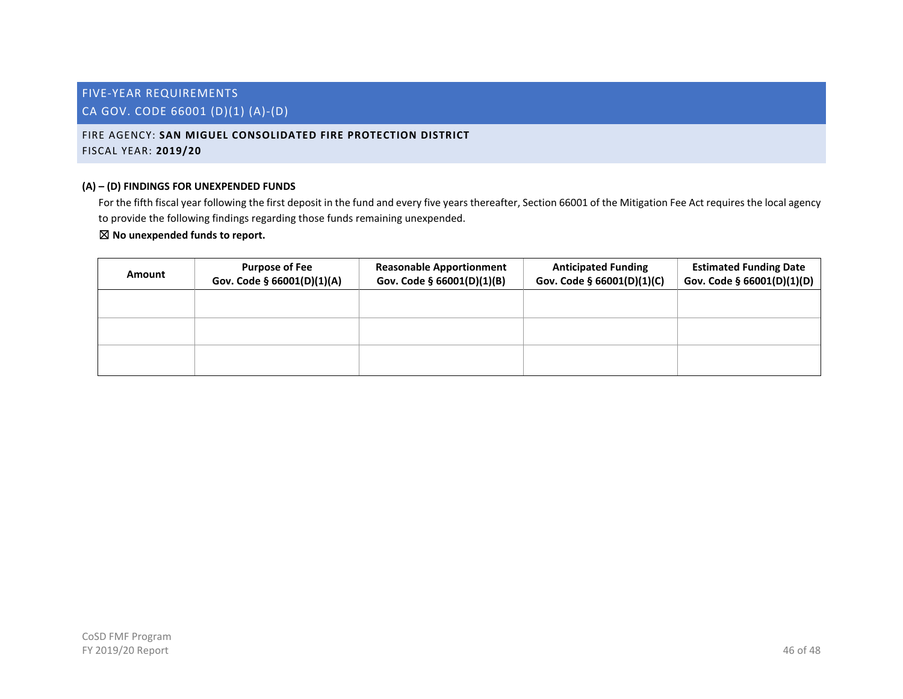# <span id="page-46-0"></span>FIRE AGENCY: **SAN MIGUEL CONSOLIDATED FIRE PROTECTION DISTRICT** FISCAL YEAR: **2019/20**

# **(A) – (D) FINDINGS FOR UNEXPENDED FUNDS**

For the fifth fiscal year following the first deposit in the fund and every five years thereafter, Section 66001 of the Mitigation Fee Act requires the local agency to provide the following findings regarding those funds remaining unexpended.

| Amount | <b>Purpose of Fee</b><br>Gov. Code § 66001(D)(1)(A) | <b>Reasonable Apportionment</b><br>Gov. Code § 66001(D)(1)(B) | <b>Anticipated Funding</b><br>Gov. Code § 66001(D)(1)(C) | <b>Estimated Funding Date</b><br>Gov. Code § 66001(D)(1)(D) |
|--------|-----------------------------------------------------|---------------------------------------------------------------|----------------------------------------------------------|-------------------------------------------------------------|
|        |                                                     |                                                               |                                                          |                                                             |
|        |                                                     |                                                               |                                                          |                                                             |
|        |                                                     |                                                               |                                                          |                                                             |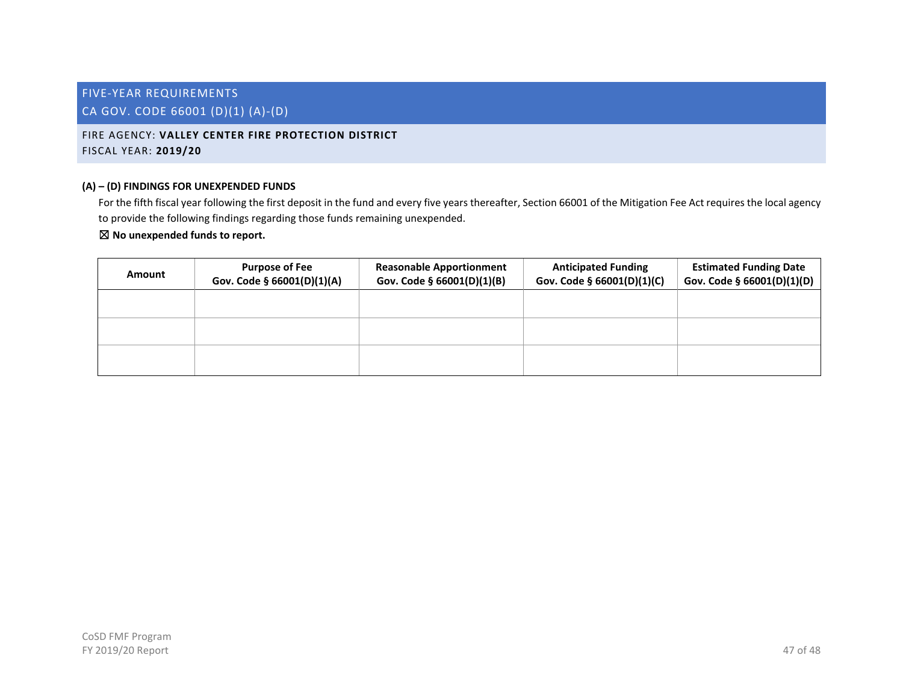# <span id="page-47-0"></span>FIRE AGENCY: **VALLEY CENTER FIRE PROTECTION DISTRICT** FISCAL YEAR: **2019/20**

# **(A) – (D) FINDINGS FOR UNEXPENDED FUNDS**

For the fifth fiscal year following the first deposit in the fund and every five years thereafter, Section 66001 of the Mitigation Fee Act requires the local agency to provide the following findings regarding those funds remaining unexpended.

| Amount | <b>Purpose of Fee</b><br>Gov. Code § 66001(D)(1)(A) | <b>Reasonable Apportionment</b><br>Gov. Code § 66001(D)(1)(B) | <b>Anticipated Funding</b><br>Gov. Code § 66001(D)(1)(C) | <b>Estimated Funding Date</b><br>Gov. Code § 66001(D)(1)(D) |
|--------|-----------------------------------------------------|---------------------------------------------------------------|----------------------------------------------------------|-------------------------------------------------------------|
|        |                                                     |                                                               |                                                          |                                                             |
|        |                                                     |                                                               |                                                          |                                                             |
|        |                                                     |                                                               |                                                          |                                                             |